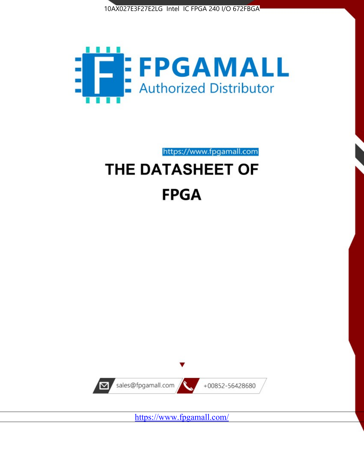



# https://www.fpgamall.com THE DATASHEET OF

# **FPGA**



<https://www.fpgamall.com/>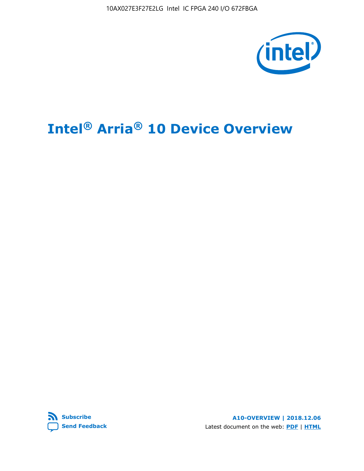10AX027E3F27E2LG Intel IC FPGA 240 I/O 672FBGA



# **Intel® Arria® 10 Device Overview**



**A10-OVERVIEW | 2018.12.06** Latest document on the web: **[PDF](https://www.intel.com/content/dam/www/programmable/us/en/pdfs/literature/hb/arria-10/a10_overview.pdf)** | **[HTML](https://www.intel.com/content/www/us/en/programmable/documentation/sam1403480274650.html)**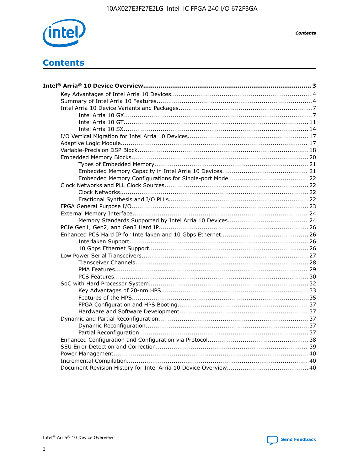

**Contents**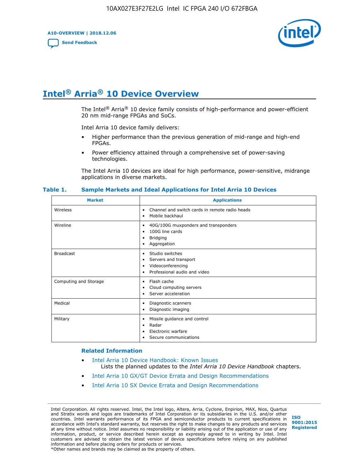**A10-OVERVIEW | 2018.12.06**

**[Send Feedback](mailto:FPGAtechdocfeedback@intel.com?subject=Feedback%20on%20Intel%20Arria%2010%20Device%20Overview%20(A10-OVERVIEW%202018.12.06)&body=We%20appreciate%20your%20feedback.%20In%20your%20comments,%20also%20specify%20the%20page%20number%20or%20paragraph.%20Thank%20you.)**



# **Intel® Arria® 10 Device Overview**

The Intel<sup>®</sup> Arria<sup>®</sup> 10 device family consists of high-performance and power-efficient 20 nm mid-range FPGAs and SoCs.

Intel Arria 10 device family delivers:

- Higher performance than the previous generation of mid-range and high-end FPGAs.
- Power efficiency attained through a comprehensive set of power-saving technologies.

The Intel Arria 10 devices are ideal for high performance, power-sensitive, midrange applications in diverse markets.

| <b>Market</b>         | <b>Applications</b>                                                                                               |
|-----------------------|-------------------------------------------------------------------------------------------------------------------|
| Wireless              | Channel and switch cards in remote radio heads<br>٠<br>Mobile backhaul<br>٠                                       |
| Wireline              | 40G/100G muxponders and transponders<br>٠<br>100G line cards<br>٠<br>Bridging<br>٠<br>Aggregation<br>٠            |
| <b>Broadcast</b>      | Studio switches<br>٠<br>Servers and transport<br>٠<br>Videoconferencing<br>٠<br>Professional audio and video<br>٠ |
| Computing and Storage | Flash cache<br>٠<br>Cloud computing servers<br>٠<br>Server acceleration<br>$\bullet$                              |
| Medical               | Diagnostic scanners<br>٠<br>Diagnostic imaging<br>٠                                                               |
| Military              | Missile guidance and control<br>٠<br>Radar<br>٠<br>Electronic warfare<br>٠<br>Secure communications<br>٠          |

#### **Table 1. Sample Markets and Ideal Applications for Intel Arria 10 Devices**

#### **Related Information**

- [Intel Arria 10 Device Handbook: Known Issues](http://www.altera.com/support/kdb/solutions/rd07302013_646.html) Lists the planned updates to the *Intel Arria 10 Device Handbook* chapters.
- [Intel Arria 10 GX/GT Device Errata and Design Recommendations](https://www.intel.com/content/www/us/en/programmable/documentation/agz1493851706374.html#yqz1494433888646)
- [Intel Arria 10 SX Device Errata and Design Recommendations](https://www.intel.com/content/www/us/en/programmable/documentation/cru1462832385668.html#cru1462832558642)

Intel Corporation. All rights reserved. Intel, the Intel logo, Altera, Arria, Cyclone, Enpirion, MAX, Nios, Quartus and Stratix words and logos are trademarks of Intel Corporation or its subsidiaries in the U.S. and/or other countries. Intel warrants performance of its FPGA and semiconductor products to current specifications in accordance with Intel's standard warranty, but reserves the right to make changes to any products and services at any time without notice. Intel assumes no responsibility or liability arising out of the application or use of any information, product, or service described herein except as expressly agreed to in writing by Intel. Intel customers are advised to obtain the latest version of device specifications before relying on any published information and before placing orders for products or services. \*Other names and brands may be claimed as the property of others.

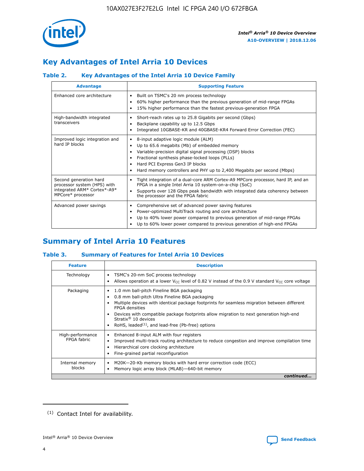

# **Key Advantages of Intel Arria 10 Devices**

# **Table 2. Key Advantages of the Intel Arria 10 Device Family**

| <b>Advantage</b>                                                                                          | <b>Supporting Feature</b>                                                                                                                                                                                                                                                                                                |
|-----------------------------------------------------------------------------------------------------------|--------------------------------------------------------------------------------------------------------------------------------------------------------------------------------------------------------------------------------------------------------------------------------------------------------------------------|
| Enhanced core architecture                                                                                | Built on TSMC's 20 nm process technology<br>٠<br>60% higher performance than the previous generation of mid-range FPGAs<br>٠<br>15% higher performance than the fastest previous-generation FPGA<br>٠                                                                                                                    |
| High-bandwidth integrated<br>transceivers                                                                 | Short-reach rates up to 25.8 Gigabits per second (Gbps)<br>٠<br>Backplane capability up to 12.5 Gbps<br>٠<br>Integrated 10GBASE-KR and 40GBASE-KR4 Forward Error Correction (FEC)<br>٠                                                                                                                                   |
| Improved logic integration and<br>hard IP blocks                                                          | 8-input adaptive logic module (ALM)<br>٠<br>Up to 65.6 megabits (Mb) of embedded memory<br>٠<br>Variable-precision digital signal processing (DSP) blocks<br>Fractional synthesis phase-locked loops (PLLs)<br>Hard PCI Express Gen3 IP blocks<br>Hard memory controllers and PHY up to 2,400 Megabits per second (Mbps) |
| Second generation hard<br>processor system (HPS) with<br>integrated ARM* Cortex*-A9*<br>MPCore* processor | Tight integration of a dual-core ARM Cortex-A9 MPCore processor, hard IP, and an<br>٠<br>FPGA in a single Intel Arria 10 system-on-a-chip (SoC)<br>Supports over 128 Gbps peak bandwidth with integrated data coherency between<br>$\bullet$<br>the processor and the FPGA fabric                                        |
| Advanced power savings                                                                                    | Comprehensive set of advanced power saving features<br>٠<br>Power-optimized MultiTrack routing and core architecture<br>٠<br>Up to 40% lower power compared to previous generation of mid-range FPGAs<br>٠<br>Up to 60% lower power compared to previous generation of high-end FPGAs                                    |

# **Summary of Intel Arria 10 Features**

## **Table 3. Summary of Features for Intel Arria 10 Devices**

| <b>Feature</b>                  | <b>Description</b>                                                                                                                                                                                                                                                                                                                                                                                           |  |  |  |  |  |  |
|---------------------------------|--------------------------------------------------------------------------------------------------------------------------------------------------------------------------------------------------------------------------------------------------------------------------------------------------------------------------------------------------------------------------------------------------------------|--|--|--|--|--|--|
| Technology                      | TSMC's 20-nm SoC process technology<br>Allows operation at a lower $V_{\text{CC}}$ level of 0.82 V instead of the 0.9 V standard $V_{\text{CC}}$ core voltage                                                                                                                                                                                                                                                |  |  |  |  |  |  |
| Packaging                       | 1.0 mm ball-pitch Fineline BGA packaging<br>٠<br>0.8 mm ball-pitch Ultra Fineline BGA packaging<br>Multiple devices with identical package footprints for seamless migration between different<br><b>FPGA</b> densities<br>Devices with compatible package footprints allow migration to next generation high-end<br>Stratix <sup>®</sup> 10 devices<br>RoHS, leaded $(1)$ , and lead-free (Pb-free) options |  |  |  |  |  |  |
| High-performance<br>FPGA fabric | Enhanced 8-input ALM with four registers<br>Improved multi-track routing architecture to reduce congestion and improve compilation time<br>Hierarchical core clocking architecture<br>Fine-grained partial reconfiguration                                                                                                                                                                                   |  |  |  |  |  |  |
| Internal memory<br>blocks       | M20K-20-Kb memory blocks with hard error correction code (ECC)<br>Memory logic array block (MLAB)-640-bit memory                                                                                                                                                                                                                                                                                             |  |  |  |  |  |  |
|                                 | continued                                                                                                                                                                                                                                                                                                                                                                                                    |  |  |  |  |  |  |



<sup>(1)</sup> Contact Intel for availability.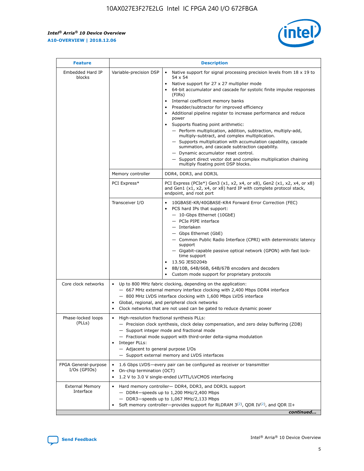$\mathsf{r}$ 



| <b>Feature</b>                         | <b>Description</b>                                                                                             |                                                                                                                                                                                                                                                                                                                                                                                                                                                                                                                                                                                                                                                                                                                                                                                                                                             |  |  |  |  |
|----------------------------------------|----------------------------------------------------------------------------------------------------------------|---------------------------------------------------------------------------------------------------------------------------------------------------------------------------------------------------------------------------------------------------------------------------------------------------------------------------------------------------------------------------------------------------------------------------------------------------------------------------------------------------------------------------------------------------------------------------------------------------------------------------------------------------------------------------------------------------------------------------------------------------------------------------------------------------------------------------------------------|--|--|--|--|
| Embedded Hard IP<br>blocks             | Variable-precision DSP                                                                                         | Native support for signal processing precision levels from $18 \times 19$ to<br>$\bullet$<br>54 x 54<br>Native support for 27 x 27 multiplier mode<br>64-bit accumulator and cascade for systolic finite impulse responses<br>(FIRS)<br>Internal coefficient memory banks<br>٠<br>Preadder/subtractor for improved efficiency<br>Additional pipeline register to increase performance and reduce<br>power<br>Supports floating point arithmetic:<br>- Perform multiplication, addition, subtraction, multiply-add,<br>multiply-subtract, and complex multiplication.<br>- Supports multiplication with accumulation capability, cascade<br>summation, and cascade subtraction capability.<br>- Dynamic accumulator reset control.<br>- Support direct vector dot and complex multiplication chaining<br>multiply floating point DSP blocks. |  |  |  |  |
|                                        | Memory controller                                                                                              | DDR4, DDR3, and DDR3L                                                                                                                                                                                                                                                                                                                                                                                                                                                                                                                                                                                                                                                                                                                                                                                                                       |  |  |  |  |
|                                        | PCI Express*                                                                                                   | PCI Express (PCIe*) Gen3 (x1, x2, x4, or x8), Gen2 (x1, x2, x4, or x8)<br>and Gen1 (x1, x2, x4, or x8) hard IP with complete protocol stack,<br>endpoint, and root port                                                                                                                                                                                                                                                                                                                                                                                                                                                                                                                                                                                                                                                                     |  |  |  |  |
|                                        | Transceiver I/O                                                                                                | 10GBASE-KR/40GBASE-KR4 Forward Error Correction (FEC)<br>PCS hard IPs that support:<br>- 10-Gbps Ethernet (10GbE)<br>- PCIe PIPE interface<br>- Interlaken<br>- Gbps Ethernet (GbE)<br>- Common Public Radio Interface (CPRI) with deterministic latency<br>support<br>- Gigabit-capable passive optical network (GPON) with fast lock-<br>time support<br>13.5G JESD204b<br>8B/10B, 64B/66B, 64B/67B encoders and decoders<br>Custom mode support for proprietary protocols                                                                                                                                                                                                                                                                                                                                                                |  |  |  |  |
| Core clock networks                    | $\bullet$                                                                                                      | Up to 800 MHz fabric clocking, depending on the application:<br>- 667 MHz external memory interface clocking with 2,400 Mbps DDR4 interface<br>- 800 MHz LVDS interface clocking with 1,600 Mbps LVDS interface<br>Global, regional, and peripheral clock networks<br>Clock networks that are not used can be gated to reduce dynamic power                                                                                                                                                                                                                                                                                                                                                                                                                                                                                                 |  |  |  |  |
| Phase-locked loops<br>(PLLs)           | High-resolution fractional synthesis PLLs:<br>$\bullet$<br>Integer PLLs:<br>- Adjacent to general purpose I/Os | - Precision clock synthesis, clock delay compensation, and zero delay buffering (ZDB)<br>- Support integer mode and fractional mode<br>- Fractional mode support with third-order delta-sigma modulation<br>- Support external memory and LVDS interfaces                                                                                                                                                                                                                                                                                                                                                                                                                                                                                                                                                                                   |  |  |  |  |
| FPGA General-purpose<br>$I/Os$ (GPIOs) | On-chip termination (OCT)<br>$\bullet$                                                                         | 1.6 Gbps LVDS-every pair can be configured as receiver or transmitter<br>1.2 V to 3.0 V single-ended LVTTL/LVCMOS interfacing                                                                                                                                                                                                                                                                                                                                                                                                                                                                                                                                                                                                                                                                                                               |  |  |  |  |
| <b>External Memory</b><br>Interface    |                                                                                                                | Hard memory controller- DDR4, DDR3, and DDR3L support<br>$-$ DDR4 $-$ speeds up to 1,200 MHz/2,400 Mbps<br>- DDR3-speeds up to 1,067 MHz/2,133 Mbps<br>Soft memory controller—provides support for RLDRAM $3^{(2)}$ , QDR IV $(2)$ , and QDR II+<br>continued                                                                                                                                                                                                                                                                                                                                                                                                                                                                                                                                                                               |  |  |  |  |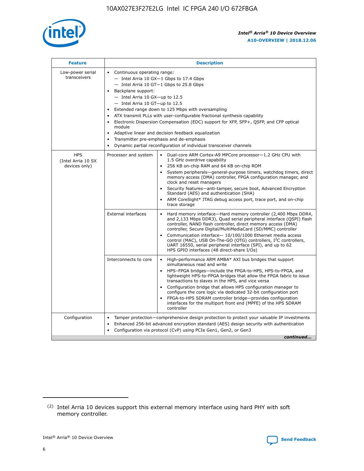

| <b>Feature</b>                                    | <b>Description</b>                                                                                                                                                                                                                                                                                                                                                                                                                                                                                                                                                                                                                                                 |
|---------------------------------------------------|--------------------------------------------------------------------------------------------------------------------------------------------------------------------------------------------------------------------------------------------------------------------------------------------------------------------------------------------------------------------------------------------------------------------------------------------------------------------------------------------------------------------------------------------------------------------------------------------------------------------------------------------------------------------|
| Low-power serial<br>transceivers                  | • Continuous operating range:<br>- Intel Arria 10 GX-1 Gbps to 17.4 Gbps<br>- Intel Arria 10 GT-1 Gbps to 25.8 Gbps<br>Backplane support:<br>$-$ Intel Arria 10 GX-up to 12.5<br>- Intel Arria 10 GT-up to 12.5<br>Extended range down to 125 Mbps with oversampling<br>ATX transmit PLLs with user-configurable fractional synthesis capability<br>$\bullet$<br>Electronic Dispersion Compensation (EDC) support for XFP, SFP+, OSFP, and CFP optical<br>module<br>Adaptive linear and decision feedback equalization<br>$\bullet$<br>Transmitter pre-emphasis and de-emphasis<br>$\bullet$<br>Dynamic partial reconfiguration of individual transceiver channels |
| <b>HPS</b><br>(Intel Arria 10 SX<br>devices only) | • Dual-core ARM Cortex-A9 MPCore processor-1.2 GHz CPU with<br>Processor and system<br>1.5 GHz overdrive capability<br>256 KB on-chip RAM and 64 KB on-chip ROM<br>$\bullet$<br>System peripherals—general-purpose timers, watchdog timers, direct<br>memory access (DMA) controller, FPGA configuration manager, and<br>clock and reset managers<br>Security features—anti-tamper, secure boot, Advanced Encryption<br>$\bullet$<br>Standard (AES) and authentication (SHA)<br>ARM CoreSight* JTAG debug access port, trace port, and on-chip<br>$\bullet$<br>trace storage                                                                                       |
|                                                   | <b>External interfaces</b><br>Hard memory interface-Hard memory controller (2,400 Mbps DDR4,<br>$\bullet$<br>and 2,133 Mbps DDR3), Quad serial peripheral interface (QSPI) flash<br>controller, NAND flash controller, direct memory access (DMA)<br>controller, Secure Digital/MultiMediaCard (SD/MMC) controller<br>Communication interface-10/100/1000 Ethernet media access<br>$\bullet$<br>control (MAC), USB On-The-GO (OTG) controllers, I <sup>2</sup> C controllers,<br>UART 16550, serial peripheral interface (SPI), and up to 62<br>HPS GPIO interfaces (48 direct-share I/Os)                                                                         |
|                                                   | Interconnects to core<br>High-performance ARM AMBA* AXI bus bridges that support<br>$\bullet$<br>simultaneous read and write<br>HPS-FPGA bridges-include the FPGA-to-HPS, HPS-to-FPGA, and<br>$\bullet$<br>lightweight HPS-to-FPGA bridges that allow the FPGA fabric to issue<br>transactions to slaves in the HPS, and vice versa<br>Configuration bridge that allows HPS configuration manager to<br>configure the core logic via dedicated 32-bit configuration port<br>FPGA-to-HPS SDRAM controller bridge-provides configuration<br>interfaces for the multiport front end (MPFE) of the HPS SDRAM<br>controller                                             |
| Configuration                                     | Tamper protection—comprehensive design protection to protect your valuable IP investments<br>Enhanced 256-bit advanced encryption standard (AES) design security with authentication<br>٠<br>Configuration via protocol (CvP) using PCIe Gen1, Gen2, or Gen3<br>continued                                                                                                                                                                                                                                                                                                                                                                                          |

<sup>(2)</sup> Intel Arria 10 devices support this external memory interface using hard PHY with soft memory controller.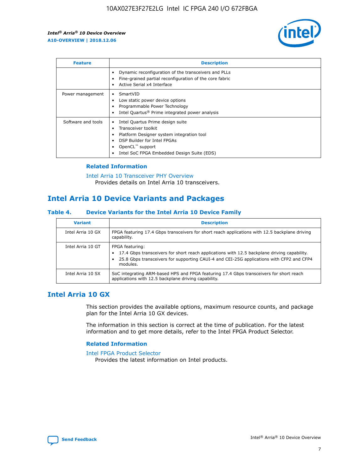

| <b>Feature</b>     | <b>Description</b>                                                                                                                                                                                               |
|--------------------|------------------------------------------------------------------------------------------------------------------------------------------------------------------------------------------------------------------|
|                    | Dynamic reconfiguration of the transceivers and PLLs<br>Fine-grained partial reconfiguration of the core fabric<br>Active Serial x4 Interface<br>$\bullet$                                                       |
| Power management   | SmartVID<br>Low static power device options<br>Programmable Power Technology<br>Intel Quartus <sup>®</sup> Prime integrated power analysis                                                                       |
| Software and tools | Intel Quartus Prime design suite<br>Transceiver toolkit<br>Platform Designer system integration tool<br>DSP Builder for Intel FPGAs<br>OpenCL <sup>™</sup> support<br>Intel SoC FPGA Embedded Design Suite (EDS) |

## **Related Information**

[Intel Arria 10 Transceiver PHY Overview](https://www.intel.com/content/www/us/en/programmable/documentation/nik1398707230472.html#nik1398706768037) Provides details on Intel Arria 10 transceivers.

# **Intel Arria 10 Device Variants and Packages**

#### **Table 4. Device Variants for the Intel Arria 10 Device Family**

| <b>Variant</b>    | <b>Description</b>                                                                                                                                                                                                     |
|-------------------|------------------------------------------------------------------------------------------------------------------------------------------------------------------------------------------------------------------------|
| Intel Arria 10 GX | FPGA featuring 17.4 Gbps transceivers for short reach applications with 12.5 backplane driving<br>capability.                                                                                                          |
| Intel Arria 10 GT | FPGA featuring:<br>17.4 Gbps transceivers for short reach applications with 12.5 backplane driving capability.<br>25.8 Gbps transceivers for supporting CAUI-4 and CEI-25G applications with CFP2 and CFP4<br>modules. |
| Intel Arria 10 SX | SoC integrating ARM-based HPS and FPGA featuring 17.4 Gbps transceivers for short reach<br>applications with 12.5 backplane driving capability.                                                                        |

# **Intel Arria 10 GX**

This section provides the available options, maximum resource counts, and package plan for the Intel Arria 10 GX devices.

The information in this section is correct at the time of publication. For the latest information and to get more details, refer to the Intel FPGA Product Selector.

#### **Related Information**

#### [Intel FPGA Product Selector](http://www.altera.com/products/selector/psg-selector.html) Provides the latest information on Intel products.

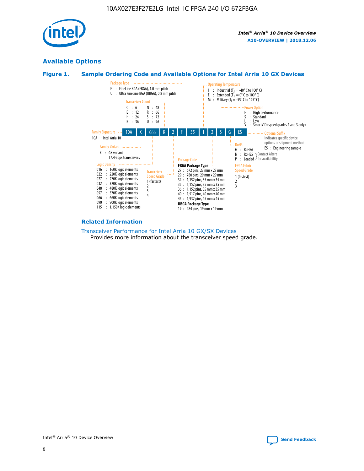

# **Available Options**





#### **Related Information**

[Transceiver Performance for Intel Arria 10 GX/SX Devices](https://www.intel.com/content/www/us/en/programmable/documentation/mcn1413182292568.html#mcn1413213965502) Provides more information about the transceiver speed grade.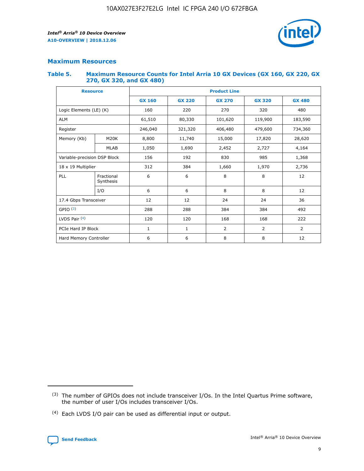

## **Maximum Resources**

#### **Table 5. Maximum Resource Counts for Intel Arria 10 GX Devices (GX 160, GX 220, GX 270, GX 320, and GX 480)**

| <b>Resource</b>              |                         | <b>Product Line</b> |                                                 |                |                |                |  |  |
|------------------------------|-------------------------|---------------------|-------------------------------------------------|----------------|----------------|----------------|--|--|
|                              |                         | <b>GX 160</b>       | <b>GX 220</b><br><b>GX 270</b><br><b>GX 320</b> |                |                | <b>GX 480</b>  |  |  |
| Logic Elements (LE) (K)      |                         | 160                 | 220                                             | 270            | 320            | 480            |  |  |
| <b>ALM</b>                   |                         | 61,510              | 80,330                                          | 101,620        | 119,900        | 183,590        |  |  |
| Register                     |                         | 246,040             | 406,480<br>321,320                              |                | 479,600        | 734,360        |  |  |
| Memory (Kb)                  | M <sub>20</sub> K       | 8,800               | 11,740                                          | 15,000         | 17,820         | 28,620         |  |  |
|                              | <b>MLAB</b>             | 1,050               | 1,690<br>2,452<br>2,727                         |                |                | 4,164          |  |  |
| Variable-precision DSP Block |                         | 156                 | 192                                             | 830            | 985            | 1,368          |  |  |
| 18 x 19 Multiplier           |                         | 312                 | 384                                             | 1,970<br>1,660 |                | 2,736          |  |  |
| PLL                          | Fractional<br>Synthesis | 6                   | 6                                               | 8              | 8              | 12             |  |  |
|                              | I/O                     | 6                   | 6                                               | 8              | 8              | 12             |  |  |
| 17.4 Gbps Transceiver        |                         | 12                  | 12                                              | 24             | 24             | 36             |  |  |
| GPIO <sup>(3)</sup>          |                         | 288                 | 288                                             | 384            | 384            | 492            |  |  |
| LVDS Pair $(4)$              |                         | 120                 | 120                                             | 168            | 168            | 222            |  |  |
| PCIe Hard IP Block           |                         | 1                   | 1                                               | 2              | $\overline{2}$ | $\overline{2}$ |  |  |
| Hard Memory Controller       |                         | 6                   | 6                                               | 8              | 8              | 12             |  |  |

<sup>(4)</sup> Each LVDS I/O pair can be used as differential input or output.



<sup>(3)</sup> The number of GPIOs does not include transceiver I/Os. In the Intel Quartus Prime software, the number of user I/Os includes transceiver I/Os.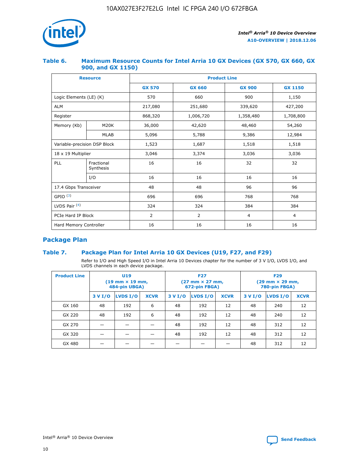

## **Table 6. Maximum Resource Counts for Intel Arria 10 GX Devices (GX 570, GX 660, GX 900, and GX 1150)**

|                              | <b>Resource</b>         | <b>Product Line</b> |                |                |                |  |  |  |  |
|------------------------------|-------------------------|---------------------|----------------|----------------|----------------|--|--|--|--|
|                              |                         | <b>GX 570</b>       | <b>GX 660</b>  | <b>GX 900</b>  | <b>GX 1150</b> |  |  |  |  |
| Logic Elements (LE) (K)      |                         | 570                 | 660            | 900            | 1,150          |  |  |  |  |
| <b>ALM</b>                   |                         | 217,080             | 251,680        | 339,620        | 427,200        |  |  |  |  |
| Register                     |                         | 868,320             | 1,006,720      | 1,358,480      | 1,708,800      |  |  |  |  |
| Memory (Kb)                  | <b>M20K</b>             | 36,000              | 42,620         | 48,460         | 54,260         |  |  |  |  |
|                              | <b>MLAB</b>             | 5,096               | 5,788          | 9,386          | 12,984         |  |  |  |  |
| Variable-precision DSP Block |                         | 1,523               | 1,687          |                | 1,518          |  |  |  |  |
| $18 \times 19$ Multiplier    |                         | 3,046               | 3,374          | 3,036          | 3,036          |  |  |  |  |
| PLL                          | Fractional<br>Synthesis | 16                  | 16             | 32             | 32             |  |  |  |  |
|                              | I/O                     | 16                  | 16             | 16             | 16             |  |  |  |  |
| 17.4 Gbps Transceiver        |                         | 48                  | 48             | 96             | 96             |  |  |  |  |
| GPIO <sup>(3)</sup>          |                         | 696                 | 696            | 768            | 768            |  |  |  |  |
| LVDS Pair $(4)$              |                         | 324                 | 324            | 384            | 384            |  |  |  |  |
| PCIe Hard IP Block           |                         | $\overline{2}$      | $\overline{2}$ | $\overline{4}$ | $\overline{4}$ |  |  |  |  |
| Hard Memory Controller       |                         | 16                  | 16             | 16             | 16             |  |  |  |  |

# **Package Plan**

# **Table 7. Package Plan for Intel Arria 10 GX Devices (U19, F27, and F29)**

Refer to I/O and High Speed I/O in Intel Arria 10 Devices chapter for the number of 3 V I/O, LVDS I/O, and LVDS channels in each device package.

| <b>Product Line</b> | U <sub>19</sub><br>$(19 \text{ mm} \times 19 \text{ mm})$<br>484-pin UBGA) |          |             |         | <b>F27</b><br>(27 mm × 27 mm,<br>672-pin FBGA) |             | <b>F29</b><br>(29 mm × 29 mm,<br>780-pin FBGA) |          |             |  |
|---------------------|----------------------------------------------------------------------------|----------|-------------|---------|------------------------------------------------|-------------|------------------------------------------------|----------|-------------|--|
|                     | 3 V I/O                                                                    | LVDS I/O | <b>XCVR</b> | 3 V I/O | LVDS I/O                                       | <b>XCVR</b> | 3 V I/O                                        | LVDS I/O | <b>XCVR</b> |  |
| GX 160              | 48                                                                         | 192      | 6           | 48      | 192                                            | 12          | 48                                             | 240      | 12          |  |
| GX 220              | 48                                                                         | 192      | 6           | 48      | 192                                            | 12          | 48                                             | 240      | 12          |  |
| GX 270              |                                                                            |          |             | 48      | 192                                            | 12          | 48                                             | 312      | 12          |  |
| GX 320              |                                                                            |          |             | 48      | 192                                            | 12          | 48                                             | 312      | 12          |  |
| GX 480              |                                                                            |          |             |         |                                                |             | 48                                             | 312      | 12          |  |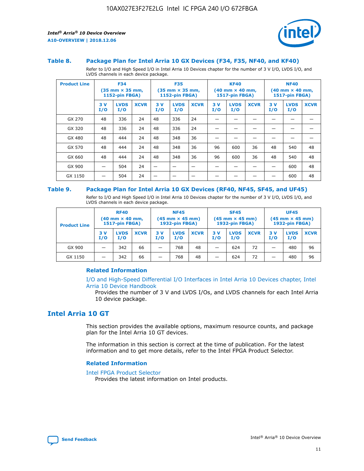

#### **Table 8. Package Plan for Intel Arria 10 GX Devices (F34, F35, NF40, and KF40)**

Refer to I/O and High Speed I/O in Intel Arria 10 Devices chapter for the number of 3 V I/O, LVDS I/O, and LVDS channels in each device package.

| <b>Product Line</b> | <b>F34</b><br>$(35 \text{ mm} \times 35 \text{ mm})$<br>1152-pin FBGA) |                    | <b>F35</b><br>$(35 \text{ mm} \times 35 \text{ mm})$<br><b>1152-pin FBGA)</b> |           | <b>KF40</b><br>$(40$ mm $\times$ 40 mm,<br>1517-pin FBGA) |             |           | <b>NF40</b><br>$(40$ mm $\times$ 40 mm,<br><b>1517-pin FBGA)</b> |             |            |                    |             |
|---------------------|------------------------------------------------------------------------|--------------------|-------------------------------------------------------------------------------|-----------|-----------------------------------------------------------|-------------|-----------|------------------------------------------------------------------|-------------|------------|--------------------|-------------|
|                     | 3V<br>I/O                                                              | <b>LVDS</b><br>I/O | <b>XCVR</b>                                                                   | 3V<br>I/O | <b>LVDS</b><br>I/O                                        | <b>XCVR</b> | 3V<br>I/O | <b>LVDS</b><br>I/O                                               | <b>XCVR</b> | 3 V<br>I/O | <b>LVDS</b><br>I/O | <b>XCVR</b> |
| GX 270              | 48                                                                     | 336                | 24                                                                            | 48        | 336                                                       | 24          |           |                                                                  |             |            |                    |             |
| GX 320              | 48                                                                     | 336                | 24                                                                            | 48        | 336                                                       | 24          |           |                                                                  |             |            |                    |             |
| GX 480              | 48                                                                     | 444                | 24                                                                            | 48        | 348                                                       | 36          |           |                                                                  |             |            |                    |             |
| GX 570              | 48                                                                     | 444                | 24                                                                            | 48        | 348                                                       | 36          | 96        | 600                                                              | 36          | 48         | 540                | 48          |
| GX 660              | 48                                                                     | 444                | 24                                                                            | 48        | 348                                                       | 36          | 96        | 600                                                              | 36          | 48         | 540                | 48          |
| GX 900              |                                                                        | 504                | 24                                                                            | -         |                                                           |             |           |                                                                  |             |            | 600                | 48          |
| GX 1150             |                                                                        | 504                | 24                                                                            |           |                                                           |             |           |                                                                  |             |            | 600                | 48          |

#### **Table 9. Package Plan for Intel Arria 10 GX Devices (RF40, NF45, SF45, and UF45)**

Refer to I/O and High Speed I/O in Intel Arria 10 Devices chapter for the number of 3 V I/O, LVDS I/O, and LVDS channels in each device package.

| <b>Product Line</b> | <b>RF40</b><br>$(40$ mm $\times$ 40 mm,<br>1517-pin FBGA) |                    | <b>NF45</b><br>$(45 \text{ mm} \times 45 \text{ mm})$<br><b>1932-pin FBGA)</b> |            |                    | <b>SF45</b><br>$(45 \text{ mm} \times 45 \text{ mm})$<br><b>1932-pin FBGA)</b> |            |                    | <b>UF45</b><br>$(45 \text{ mm} \times 45 \text{ mm})$<br><b>1932-pin FBGA)</b> |           |                    |             |
|---------------------|-----------------------------------------------------------|--------------------|--------------------------------------------------------------------------------|------------|--------------------|--------------------------------------------------------------------------------|------------|--------------------|--------------------------------------------------------------------------------|-----------|--------------------|-------------|
|                     | 3V<br>I/O                                                 | <b>LVDS</b><br>I/O | <b>XCVR</b>                                                                    | 3 V<br>I/O | <b>LVDS</b><br>I/O | <b>XCVR</b>                                                                    | 3 V<br>I/O | <b>LVDS</b><br>I/O | <b>XCVR</b>                                                                    | 3V<br>I/O | <b>LVDS</b><br>I/O | <b>XCVR</b> |
| GX 900              |                                                           | 342                | 66                                                                             | _          | 768                | 48                                                                             |            | 624                | 72                                                                             |           | 480                | 96          |
| GX 1150             |                                                           | 342                | 66                                                                             | _          | 768                | 48                                                                             |            | 624                | 72                                                                             |           | 480                | 96          |

### **Related Information**

[I/O and High-Speed Differential I/O Interfaces in Intel Arria 10 Devices chapter, Intel](https://www.intel.com/content/www/us/en/programmable/documentation/sam1403482614086.html#sam1403482030321) [Arria 10 Device Handbook](https://www.intel.com/content/www/us/en/programmable/documentation/sam1403482614086.html#sam1403482030321)

Provides the number of 3 V and LVDS I/Os, and LVDS channels for each Intel Arria 10 device package.

# **Intel Arria 10 GT**

This section provides the available options, maximum resource counts, and package plan for the Intel Arria 10 GT devices.

The information in this section is correct at the time of publication. For the latest information and to get more details, refer to the Intel FPGA Product Selector.

#### **Related Information**

#### [Intel FPGA Product Selector](http://www.altera.com/products/selector/psg-selector.html)

Provides the latest information on Intel products.

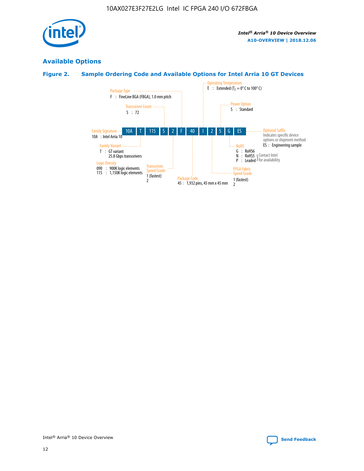

# **Available Options**

# **Figure 2. Sample Ordering Code and Available Options for Intel Arria 10 GT Devices**

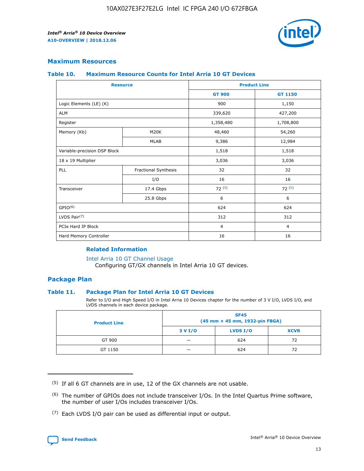

## **Maximum Resources**

#### **Table 10. Maximum Resource Counts for Intel Arria 10 GT Devices**

|                              | <b>Resource</b>      | <b>Product Line</b> |                |
|------------------------------|----------------------|---------------------|----------------|
|                              |                      | <b>GT 900</b>       | GT 1150        |
| Logic Elements (LE) (K)      |                      | 900                 | 1,150          |
| <b>ALM</b>                   |                      | 339,620             | 427,200        |
| Register                     |                      | 1,358,480           | 1,708,800      |
| Memory (Kb)                  | M20K                 | 48,460              | 54,260         |
|                              | <b>MLAB</b>          | 9,386               | 12,984         |
| Variable-precision DSP Block |                      | 1,518               | 1,518          |
| 18 x 19 Multiplier           |                      | 3,036               | 3,036          |
| PLL                          | Fractional Synthesis | 32                  | 32             |
|                              | I/O                  | 16                  | 16             |
| Transceiver                  | 17.4 Gbps            | 72(5)               | 72(5)          |
|                              | 25.8 Gbps            | 6                   | 6              |
| GPIO <sup>(6)</sup>          |                      | 624                 | 624            |
| LVDS Pair $(7)$              |                      | 312                 | 312            |
| PCIe Hard IP Block           |                      | $\overline{4}$      | $\overline{4}$ |
| Hard Memory Controller       |                      | 16                  | 16             |

### **Related Information**

#### [Intel Arria 10 GT Channel Usage](https://www.intel.com/content/www/us/en/programmable/documentation/nik1398707230472.html#nik1398707008178)

Configuring GT/GX channels in Intel Arria 10 GT devices.

## **Package Plan**

#### **Table 11. Package Plan for Intel Arria 10 GT Devices**

Refer to I/O and High Speed I/O in Intel Arria 10 Devices chapter for the number of 3 V I/O, LVDS I/O, and LVDS channels in each device package.

| <b>Product Line</b> | <b>SF45</b><br>(45 mm × 45 mm, 1932-pin FBGA) |                 |             |  |  |  |  |
|---------------------|-----------------------------------------------|-----------------|-------------|--|--|--|--|
|                     | 3 V I/O                                       | <b>LVDS I/O</b> | <b>XCVR</b> |  |  |  |  |
| GT 900              |                                               | 624             | 72          |  |  |  |  |
| GT 1150             |                                               | 624             | 72          |  |  |  |  |

<sup>(7)</sup> Each LVDS I/O pair can be used as differential input or output.



 $(5)$  If all 6 GT channels are in use, 12 of the GX channels are not usable.

<sup>(6)</sup> The number of GPIOs does not include transceiver I/Os. In the Intel Quartus Prime software, the number of user I/Os includes transceiver I/Os.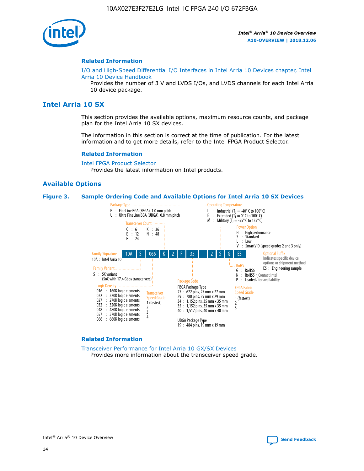

#### **Related Information**

[I/O and High-Speed Differential I/O Interfaces in Intel Arria 10 Devices chapter, Intel](https://www.intel.com/content/www/us/en/programmable/documentation/sam1403482614086.html#sam1403482030321) [Arria 10 Device Handbook](https://www.intel.com/content/www/us/en/programmable/documentation/sam1403482614086.html#sam1403482030321)

Provides the number of 3 V and LVDS I/Os, and LVDS channels for each Intel Arria 10 device package.

# **Intel Arria 10 SX**

This section provides the available options, maximum resource counts, and package plan for the Intel Arria 10 SX devices.

The information in this section is correct at the time of publication. For the latest information and to get more details, refer to the Intel FPGA Product Selector.

#### **Related Information**

[Intel FPGA Product Selector](http://www.altera.com/products/selector/psg-selector.html) Provides the latest information on Intel products.

#### **Available Options**

#### **Figure 3. Sample Ordering Code and Available Options for Intel Arria 10 SX Devices**



#### **Related Information**

[Transceiver Performance for Intel Arria 10 GX/SX Devices](https://www.intel.com/content/www/us/en/programmable/documentation/mcn1413182292568.html#mcn1413213965502) Provides more information about the transceiver speed grade.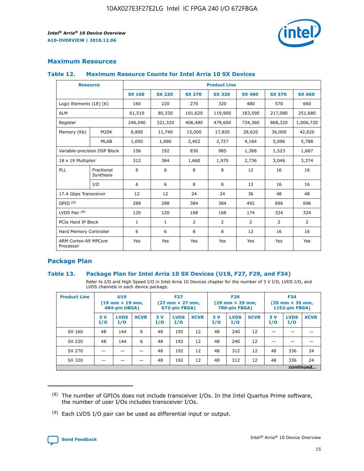

# **Maximum Resources**

#### **Table 12. Maximum Resource Counts for Intel Arria 10 SX Devices**

| <b>Resource</b>                   |                         |               |               |                | <b>Product Line</b> |               |                |                |
|-----------------------------------|-------------------------|---------------|---------------|----------------|---------------------|---------------|----------------|----------------|
|                                   |                         | <b>SX 160</b> | <b>SX 220</b> | <b>SX 270</b>  | <b>SX 320</b>       | <b>SX 480</b> | <b>SX 570</b>  | <b>SX 660</b>  |
| Logic Elements (LE) (K)           |                         | 160           | 220           | 270            | 320                 | 480           | 570            | 660            |
| <b>ALM</b>                        |                         | 61,510        | 80,330        | 101,620        | 119,900             | 183,590       | 217,080        | 251,680        |
| Register                          |                         | 246,040       | 321,320       | 406,480        | 479,600             | 734,360       | 868,320        | 1,006,720      |
| Memory (Kb)                       | M <sub>20</sub> K       | 8,800         | 11,740        | 15,000         | 17,820              | 28,620        | 36,000         | 42,620         |
|                                   | <b>MLAB</b>             | 1,050         | 1,690         | 2,452          | 2,727               | 4,164         | 5,096          | 5,788          |
| Variable-precision DSP Block      |                         | 156           | 192           | 830            | 985                 | 1,368         | 1,523          | 1,687          |
| 18 x 19 Multiplier                |                         | 312           | 384           | 1,660          | 1,970               | 2,736         | 3,046          | 3,374          |
| <b>PLL</b>                        | Fractional<br>Synthesis | 6             | 6             | 8              | 8                   | 12            | 16             | 16             |
|                                   | I/O                     | 6             | 6             | 8              | 8                   | 12            | 16             | 16             |
| 17.4 Gbps Transceiver             |                         | 12            | 12            | 24             | 24                  | 36            | 48             | 48             |
| GPIO <sup>(8)</sup>               |                         | 288           | 288           | 384            | 384                 | 492           | 696            | 696            |
| LVDS Pair $(9)$                   |                         | 120           | 120           | 168            | 168                 | 174           | 324            | 324            |
| PCIe Hard IP Block                |                         | $\mathbf{1}$  | $\mathbf{1}$  | $\overline{2}$ | $\overline{2}$      | 2             | $\overline{2}$ | $\overline{2}$ |
| Hard Memory Controller            |                         | 6             | 6             | 8              | 8                   | 12            | 16             | 16             |
| ARM Cortex-A9 MPCore<br>Processor |                         | Yes           | Yes           | Yes            | Yes                 | Yes           | Yes            | Yes            |

# **Package Plan**

#### **Table 13. Package Plan for Intel Arria 10 SX Devices (U19, F27, F29, and F34)**

Refer to I/O and High Speed I/O in Intel Arria 10 Devices chapter for the number of 3 V I/O, LVDS I/O, and LVDS channels in each device package.

| <b>Product Line</b> | <b>U19</b><br>$(19$ mm $\times$ 19 mm,<br>484-pin UBGA) |                    |             | <b>F27</b><br>$(27 \text{ mm} \times 27 \text{ mm})$<br>672-pin FBGA) |                    | <b>F29</b><br>$(29 \text{ mm} \times 29 \text{ mm})$<br>780-pin FBGA) |           |                    | <b>F34</b><br>$(35 \text{ mm} \times 35 \text{ mm})$<br><b>1152-pin FBGA)</b> |           |                    |             |
|---------------------|---------------------------------------------------------|--------------------|-------------|-----------------------------------------------------------------------|--------------------|-----------------------------------------------------------------------|-----------|--------------------|-------------------------------------------------------------------------------|-----------|--------------------|-------------|
|                     | 3V<br>I/O                                               | <b>LVDS</b><br>I/O | <b>XCVR</b> | 3V<br>I/O                                                             | <b>LVDS</b><br>I/O | <b>XCVR</b>                                                           | 3V<br>I/O | <b>LVDS</b><br>I/O | <b>XCVR</b>                                                                   | 3V<br>I/O | <b>LVDS</b><br>I/O | <b>XCVR</b> |
| SX 160              | 48                                                      | 144                | 6           | 48                                                                    | 192                | 12                                                                    | 48        | 240                | 12                                                                            | -         |                    |             |
| SX 220              | 48                                                      | 144                | 6           | 48                                                                    | 192                | 12                                                                    | 48        | 240                | 12                                                                            |           |                    |             |
| SX 270              |                                                         |                    |             | 48                                                                    | 192                | 12                                                                    | 48        | 312                | 12                                                                            | 48        | 336                | 24          |
| SX 320              |                                                         |                    |             | 48                                                                    | 192                | 12                                                                    | 48        | 312                | 12                                                                            | 48        | 336                | 24          |
|                     | continued                                               |                    |             |                                                                       |                    |                                                                       |           |                    |                                                                               |           |                    |             |

 $(8)$  The number of GPIOs does not include transceiver I/Os. In the Intel Quartus Prime software, the number of user I/Os includes transceiver I/Os.

 $(9)$  Each LVDS I/O pair can be used as differential input or output.

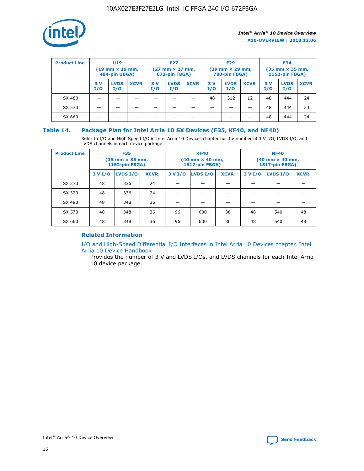

| <b>Product Line</b> |            | <b>U19</b><br>$(19 \text{ mm} \times 19 \text{ mm})$<br>484-pin UBGA) |             |           | <b>F27</b><br>$(27 \text{ mm} \times 27 \text{ mm})$<br>672-pin FBGA) |             |           | <b>F29</b><br>$(29$ mm $\times$ 29 mm,<br>780-pin FBGA) |             |           | <b>F34</b><br>$(35$ mm $\times$ 35 mm,<br><b>1152-pin FBGA)</b> |             |  |
|---------------------|------------|-----------------------------------------------------------------------|-------------|-----------|-----------------------------------------------------------------------|-------------|-----------|---------------------------------------------------------|-------------|-----------|-----------------------------------------------------------------|-------------|--|
|                     | 3 V<br>I/O | <b>LVDS</b><br>I/O                                                    | <b>XCVR</b> | 3V<br>I/O | <b>LVDS</b><br>I/O                                                    | <b>XCVR</b> | 3V<br>I/O | <b>LVDS</b><br>I/O                                      | <b>XCVR</b> | 3V<br>I/O | <b>LVDS</b><br>I/O                                              | <b>XCVR</b> |  |
| SX 480              |            |                                                                       |             |           |                                                                       |             | 48        | 312                                                     | 12          | 48        | 444                                                             | 24          |  |
| SX 570              |            |                                                                       |             |           |                                                                       |             |           |                                                         |             | 48        | 444                                                             | 24          |  |
| SX 660              |            |                                                                       |             |           |                                                                       |             |           |                                                         |             | 48        | 444                                                             | 24          |  |

## **Table 14. Package Plan for Intel Arria 10 SX Devices (F35, KF40, and NF40)**

Refer to I/O and High Speed I/O in Intel Arria 10 Devices chapter for the number of 3 V I/O, LVDS I/O, and LVDS channels in each device package.

| <b>Product Line</b> | <b>F35</b><br>(35 mm × 35 mm,<br><b>1152-pin FBGA)</b> |          |             |                                           | <b>KF40</b><br>(40 mm × 40 mm,<br>1517-pin FBGA) |    | <b>NF40</b><br>$(40 \text{ mm} \times 40 \text{ mm})$<br>1517-pin FBGA) |          |             |  |
|---------------------|--------------------------------------------------------|----------|-------------|-------------------------------------------|--------------------------------------------------|----|-------------------------------------------------------------------------|----------|-------------|--|
|                     | 3 V I/O                                                | LVDS I/O | <b>XCVR</b> | <b>LVDS I/O</b><br>3 V I/O<br><b>XCVR</b> |                                                  |    | 3 V I/O                                                                 | LVDS I/O | <b>XCVR</b> |  |
| SX 270              | 48                                                     | 336      | 24          |                                           |                                                  |    |                                                                         |          |             |  |
| SX 320              | 48                                                     | 336      | 24          |                                           |                                                  |    |                                                                         |          |             |  |
| SX 480              | 48                                                     | 348      | 36          |                                           |                                                  |    |                                                                         |          |             |  |
| SX 570              | 48                                                     | 348      | 36          | 96                                        | 600                                              | 36 | 48                                                                      | 540      | 48          |  |
| SX 660              | 48                                                     | 348      | 36          | 96                                        | 600                                              | 36 | 48                                                                      | 540      | 48          |  |

# **Related Information**

[I/O and High-Speed Differential I/O Interfaces in Intel Arria 10 Devices chapter, Intel](https://www.intel.com/content/www/us/en/programmable/documentation/sam1403482614086.html#sam1403482030321) [Arria 10 Device Handbook](https://www.intel.com/content/www/us/en/programmable/documentation/sam1403482614086.html#sam1403482030321)

Provides the number of 3 V and LVDS I/Os, and LVDS channels for each Intel Arria 10 device package.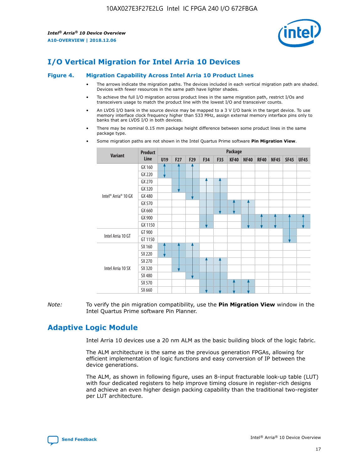

# **I/O Vertical Migration for Intel Arria 10 Devices**

#### **Figure 4. Migration Capability Across Intel Arria 10 Product Lines**

- The arrows indicate the migration paths. The devices included in each vertical migration path are shaded. Devices with fewer resources in the same path have lighter shades.
- To achieve the full I/O migration across product lines in the same migration path, restrict I/Os and transceivers usage to match the product line with the lowest I/O and transceiver counts.
- An LVDS I/O bank in the source device may be mapped to a 3 V I/O bank in the target device. To use memory interface clock frequency higher than 533 MHz, assign external memory interface pins only to banks that are LVDS I/O in both devices.
- There may be nominal 0.15 mm package height difference between some product lines in the same package type.
	- **Variant Product Line Package U19 F27 F29 F34 F35 KF40 NF40 RF40 NF45 SF45 UF45** Intel® Arria® 10 GX GX 160 GX 220 GX 270 GX 320 GX 480 GX 570 GX 660 GX 900 GX 1150 Intel Arria 10 GT GT 900 GT 1150 Intel Arria 10 SX SX 160 SX 220 SX 270 SX 320 SX 480 SX 570 SX 660
- Some migration paths are not shown in the Intel Quartus Prime software **Pin Migration View**.

*Note:* To verify the pin migration compatibility, use the **Pin Migration View** window in the Intel Quartus Prime software Pin Planner.

# **Adaptive Logic Module**

Intel Arria 10 devices use a 20 nm ALM as the basic building block of the logic fabric.

The ALM architecture is the same as the previous generation FPGAs, allowing for efficient implementation of logic functions and easy conversion of IP between the device generations.

The ALM, as shown in following figure, uses an 8-input fracturable look-up table (LUT) with four dedicated registers to help improve timing closure in register-rich designs and achieve an even higher design packing capability than the traditional two-register per LUT architecture.

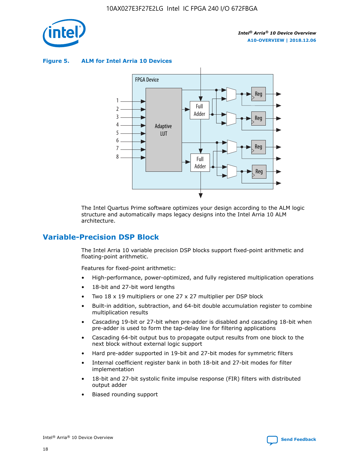

**Figure 5. ALM for Intel Arria 10 Devices**



The Intel Quartus Prime software optimizes your design according to the ALM logic structure and automatically maps legacy designs into the Intel Arria 10 ALM architecture.

# **Variable-Precision DSP Block**

The Intel Arria 10 variable precision DSP blocks support fixed-point arithmetic and floating-point arithmetic.

Features for fixed-point arithmetic:

- High-performance, power-optimized, and fully registered multiplication operations
- 18-bit and 27-bit word lengths
- Two 18 x 19 multipliers or one 27 x 27 multiplier per DSP block
- Built-in addition, subtraction, and 64-bit double accumulation register to combine multiplication results
- Cascading 19-bit or 27-bit when pre-adder is disabled and cascading 18-bit when pre-adder is used to form the tap-delay line for filtering applications
- Cascading 64-bit output bus to propagate output results from one block to the next block without external logic support
- Hard pre-adder supported in 19-bit and 27-bit modes for symmetric filters
- Internal coefficient register bank in both 18-bit and 27-bit modes for filter implementation
- 18-bit and 27-bit systolic finite impulse response (FIR) filters with distributed output adder
- Biased rounding support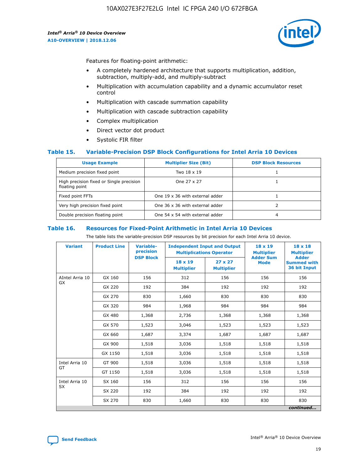

Features for floating-point arithmetic:

- A completely hardened architecture that supports multiplication, addition, subtraction, multiply-add, and multiply-subtract
- Multiplication with accumulation capability and a dynamic accumulator reset control
- Multiplication with cascade summation capability
- Multiplication with cascade subtraction capability
- Complex multiplication
- Direct vector dot product
- Systolic FIR filter

#### **Table 15. Variable-Precision DSP Block Configurations for Intel Arria 10 Devices**

| <b>Usage Example</b>                                       | <b>Multiplier Size (Bit)</b>    | <b>DSP Block Resources</b> |
|------------------------------------------------------------|---------------------------------|----------------------------|
| Medium precision fixed point                               | Two 18 x 19                     |                            |
| High precision fixed or Single precision<br>floating point | One 27 x 27                     |                            |
| Fixed point FFTs                                           | One 19 x 36 with external adder |                            |
| Very high precision fixed point                            | One 36 x 36 with external adder |                            |
| Double precision floating point                            | One 54 x 54 with external adder | 4                          |

#### **Table 16. Resources for Fixed-Point Arithmetic in Intel Arria 10 Devices**

The table lists the variable-precision DSP resources by bit precision for each Intel Arria 10 device.

| <b>Variant</b>  | <b>Product Line</b> | <b>Variable-</b><br>precision<br><b>DSP Block</b> | <b>Independent Input and Output</b><br><b>Multiplications Operator</b> |                                     | 18 x 19<br><b>Multiplier</b><br><b>Adder Sum</b> | $18 \times 18$<br><b>Multiplier</b><br><b>Adder</b> |
|-----------------|---------------------|---------------------------------------------------|------------------------------------------------------------------------|-------------------------------------|--------------------------------------------------|-----------------------------------------------------|
|                 |                     |                                                   | 18 x 19<br><b>Multiplier</b>                                           | $27 \times 27$<br><b>Multiplier</b> | <b>Mode</b>                                      | <b>Summed with</b><br>36 bit Input                  |
| AIntel Arria 10 | GX 160              | 156                                               | 312                                                                    | 156                                 | 156                                              | 156                                                 |
| GX              | GX 220              | 192                                               | 384                                                                    | 192                                 | 192                                              | 192                                                 |
|                 | GX 270              | 830                                               | 1,660                                                                  | 830                                 | 830                                              | 830                                                 |
|                 | GX 320              | 984                                               | 1,968                                                                  | 984                                 | 984                                              | 984                                                 |
|                 | GX 480              | 1,368                                             | 2,736                                                                  | 1,368                               | 1,368                                            | 1,368                                               |
|                 | GX 570              | 1,523                                             | 3,046                                                                  | 1,523                               | 1,523                                            | 1,523                                               |
|                 | GX 660              | 1,687                                             | 3,374                                                                  | 1,687                               | 1,687                                            | 1,687                                               |
|                 | GX 900              | 1,518                                             | 3,036                                                                  | 1,518                               | 1,518                                            | 1,518                                               |
|                 | GX 1150             | 1,518                                             | 3,036                                                                  | 1,518                               | 1,518                                            | 1,518                                               |
| Intel Arria 10  | GT 900              | 1,518                                             | 3,036                                                                  | 1,518                               | 1,518                                            | 1,518                                               |
| GT              | GT 1150             | 1,518                                             | 3,036                                                                  | 1,518                               | 1,518                                            | 1,518                                               |
| Intel Arria 10  | SX 160              | 156                                               | 312                                                                    | 156                                 | 156                                              | 156                                                 |
| <b>SX</b>       | SX 220              | 192                                               | 384                                                                    | 192                                 | 192                                              | 192                                                 |
|                 | SX 270              | 830                                               | 1,660                                                                  | 830                                 | 830                                              | 830                                                 |
|                 |                     |                                                   |                                                                        |                                     |                                                  | continued                                           |

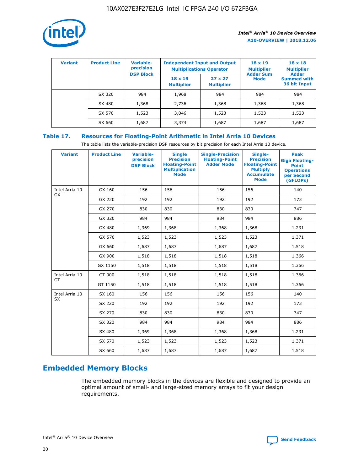

| <b>Variant</b> | <b>Product Line</b> | <b>Variable-</b><br>precision | <b>Independent Input and Output</b><br><b>Multiplications Operator</b> |                                     | $18 \times 19$<br><b>Multiplier</b> | $18 \times 18$<br><b>Multiplier</b><br><b>Adder</b> |  |
|----------------|---------------------|-------------------------------|------------------------------------------------------------------------|-------------------------------------|-------------------------------------|-----------------------------------------------------|--|
|                |                     | <b>DSP Block</b>              | $18 \times 19$<br><b>Multiplier</b>                                    | $27 \times 27$<br><b>Multiplier</b> | <b>Adder Sum</b><br><b>Mode</b>     | <b>Summed with</b><br>36 bit Input                  |  |
|                | SX 320              | 984                           | 1,968                                                                  | 984                                 | 984                                 | 984                                                 |  |
|                | SX 480              | 1,368                         | 2,736                                                                  | 1,368                               | 1,368                               | 1,368                                               |  |
|                | SX 570              | 1,523                         | 3,046                                                                  | 1,523                               | 1,523                               | 1,523                                               |  |
|                | SX 660              | 1,687                         | 3,374                                                                  | 1,687                               | 1,687                               | 1,687                                               |  |

# **Table 17. Resources for Floating-Point Arithmetic in Intel Arria 10 Devices**

The table lists the variable-precision DSP resources by bit precision for each Intel Arria 10 device.

| <b>Variant</b> | <b>Product Line</b> | <b>Variable-</b><br>precision<br><b>DSP Block</b> | <b>Single</b><br><b>Precision</b><br><b>Floating-Point</b><br><b>Multiplication</b><br><b>Mode</b> | <b>Single-Precision</b><br><b>Floating-Point</b><br><b>Adder Mode</b> | Single-<br><b>Precision</b><br><b>Floating-Point</b><br><b>Multiply</b><br><b>Accumulate</b><br><b>Mode</b> | <b>Peak</b><br><b>Giga Floating-</b><br><b>Point</b><br><b>Operations</b><br>per Second<br>(GFLOPs) |
|----------------|---------------------|---------------------------------------------------|----------------------------------------------------------------------------------------------------|-----------------------------------------------------------------------|-------------------------------------------------------------------------------------------------------------|-----------------------------------------------------------------------------------------------------|
| Intel Arria 10 | GX 160              | 156                                               | 156                                                                                                | 156                                                                   | 156                                                                                                         | 140                                                                                                 |
| GX             | GX 220              | 192                                               | 192                                                                                                | 192                                                                   | 192                                                                                                         | 173                                                                                                 |
|                | GX 270              | 830                                               | 830                                                                                                | 830                                                                   | 830                                                                                                         | 747                                                                                                 |
|                | GX 320              | 984                                               | 984                                                                                                | 984                                                                   | 984                                                                                                         | 886                                                                                                 |
|                | GX 480              | 1,369                                             | 1,368                                                                                              | 1,368                                                                 | 1,368                                                                                                       | 1,231                                                                                               |
|                | GX 570              | 1,523                                             | 1,523                                                                                              | 1,523                                                                 | 1,523                                                                                                       | 1,371                                                                                               |
|                | GX 660              | 1,687                                             | 1,687                                                                                              | 1,687                                                                 | 1,687                                                                                                       | 1,518                                                                                               |
|                | GX 900              | 1,518                                             | 1,518                                                                                              | 1,518                                                                 | 1,518                                                                                                       | 1,366                                                                                               |
|                | GX 1150             | 1,518                                             | 1,518                                                                                              | 1,518                                                                 | 1,518                                                                                                       | 1,366                                                                                               |
| Intel Arria 10 | GT 900              | 1,518                                             | 1,518                                                                                              | 1,518                                                                 | 1,518                                                                                                       | 1,366                                                                                               |
| GT             | GT 1150             | 1,518                                             | 1,518                                                                                              | 1,518                                                                 | 1,518                                                                                                       | 1,366                                                                                               |
| Intel Arria 10 | SX 160              | 156                                               | 156                                                                                                | 156                                                                   | 156                                                                                                         | 140                                                                                                 |
| <b>SX</b>      | SX 220              | 192                                               | 192                                                                                                | 192                                                                   | 192                                                                                                         | 173                                                                                                 |
|                | SX 270              | 830                                               | 830                                                                                                | 830                                                                   | 830                                                                                                         | 747                                                                                                 |
|                | SX 320              | 984                                               | 984                                                                                                | 984                                                                   | 984                                                                                                         | 886                                                                                                 |
|                | SX 480              | 1,369                                             | 1,368                                                                                              | 1,368                                                                 | 1,368                                                                                                       | 1,231                                                                                               |
|                | SX 570              | 1,523                                             | 1,523                                                                                              | 1,523                                                                 | 1,523                                                                                                       | 1,371                                                                                               |
|                | SX 660              | 1,687                                             | 1,687                                                                                              | 1,687                                                                 | 1,687                                                                                                       | 1,518                                                                                               |

# **Embedded Memory Blocks**

The embedded memory blocks in the devices are flexible and designed to provide an optimal amount of small- and large-sized memory arrays to fit your design requirements.

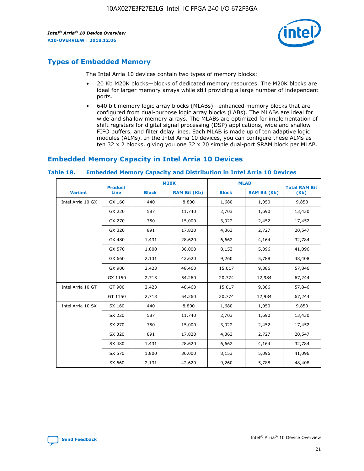

# **Types of Embedded Memory**

The Intel Arria 10 devices contain two types of memory blocks:

- 20 Kb M20K blocks—blocks of dedicated memory resources. The M20K blocks are ideal for larger memory arrays while still providing a large number of independent ports.
- 640 bit memory logic array blocks (MLABs)—enhanced memory blocks that are configured from dual-purpose logic array blocks (LABs). The MLABs are ideal for wide and shallow memory arrays. The MLABs are optimized for implementation of shift registers for digital signal processing (DSP) applications, wide and shallow FIFO buffers, and filter delay lines. Each MLAB is made up of ten adaptive logic modules (ALMs). In the Intel Arria 10 devices, you can configure these ALMs as ten 32 x 2 blocks, giving you one 32 x 20 simple dual-port SRAM block per MLAB.

# **Embedded Memory Capacity in Intel Arria 10 Devices**

|                   | <b>Product</b> |              | <b>M20K</b>         | <b>MLAB</b>  |                     | <b>Total RAM Bit</b> |
|-------------------|----------------|--------------|---------------------|--------------|---------------------|----------------------|
| <b>Variant</b>    | <b>Line</b>    | <b>Block</b> | <b>RAM Bit (Kb)</b> | <b>Block</b> | <b>RAM Bit (Kb)</b> | (Kb)                 |
| Intel Arria 10 GX | GX 160         | 440          | 8,800               | 1,680        | 1,050               | 9,850                |
|                   | GX 220         | 587          | 11,740              | 2,703        | 1,690               | 13,430               |
|                   | GX 270         | 750          | 15,000              | 3,922        | 2,452               | 17,452               |
|                   | GX 320         | 891          | 17,820              | 4,363        | 2,727               | 20,547               |
|                   | GX 480         | 1,431        | 28,620              | 6,662        | 4,164               | 32,784               |
|                   | GX 570         | 1,800        | 36,000              | 8,153        | 5,096               | 41,096               |
|                   | GX 660         | 2,131        | 42,620              | 9,260        | 5,788               | 48,408               |
|                   | GX 900         | 2,423        | 48,460              | 15,017       | 9,386               | 57,846               |
|                   | GX 1150        | 2,713        | 54,260              | 20,774       | 12,984              | 67,244               |
| Intel Arria 10 GT | GT 900         | 2,423        | 48,460              | 15,017       | 9,386               | 57,846               |
|                   | GT 1150        | 2,713        | 54,260              | 20,774       | 12,984              | 67,244               |
| Intel Arria 10 SX | SX 160         | 440          | 8,800               | 1,680        | 1,050               | 9,850                |
|                   | SX 220         | 587          | 11,740              | 2,703        | 1,690               | 13,430               |
|                   | SX 270         | 750          | 15,000              | 3,922        | 2,452               | 17,452               |
|                   | SX 320         | 891          | 17,820              | 4,363        | 2,727               | 20,547               |
|                   | SX 480         | 1,431        | 28,620              | 6,662        | 4,164               | 32,784               |
|                   | SX 570         | 1,800        | 36,000              | 8,153        | 5,096               | 41,096               |
|                   | SX 660         | 2,131        | 42,620              | 9,260        | 5,788               | 48,408               |

#### **Table 18. Embedded Memory Capacity and Distribution in Intel Arria 10 Devices**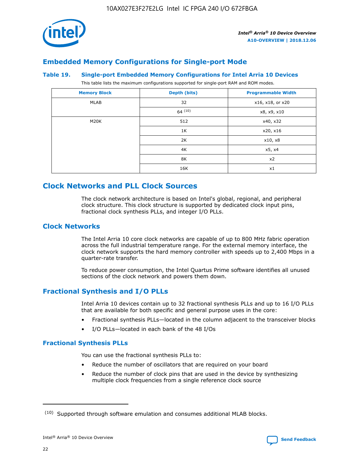

# **Embedded Memory Configurations for Single-port Mode**

#### **Table 19. Single-port Embedded Memory Configurations for Intel Arria 10 Devices**

This table lists the maximum configurations supported for single-port RAM and ROM modes.

| <b>Memory Block</b> | Depth (bits) | <b>Programmable Width</b> |
|---------------------|--------------|---------------------------|
| MLAB                | 32           | x16, x18, or x20          |
|                     | 64(10)       | x8, x9, x10               |
| M20K                | 512          | x40, x32                  |
|                     | 1K           | x20, x16                  |
|                     | 2K           | x10, x8                   |
|                     | 4K           | x5, x4                    |
|                     | 8K           | x2                        |
|                     | 16K          | x1                        |

# **Clock Networks and PLL Clock Sources**

The clock network architecture is based on Intel's global, regional, and peripheral clock structure. This clock structure is supported by dedicated clock input pins, fractional clock synthesis PLLs, and integer I/O PLLs.

# **Clock Networks**

The Intel Arria 10 core clock networks are capable of up to 800 MHz fabric operation across the full industrial temperature range. For the external memory interface, the clock network supports the hard memory controller with speeds up to 2,400 Mbps in a quarter-rate transfer.

To reduce power consumption, the Intel Quartus Prime software identifies all unused sections of the clock network and powers them down.

# **Fractional Synthesis and I/O PLLs**

Intel Arria 10 devices contain up to 32 fractional synthesis PLLs and up to 16 I/O PLLs that are available for both specific and general purpose uses in the core:

- Fractional synthesis PLLs—located in the column adjacent to the transceiver blocks
- I/O PLLs—located in each bank of the 48 I/Os

#### **Fractional Synthesis PLLs**

You can use the fractional synthesis PLLs to:

- Reduce the number of oscillators that are required on your board
- Reduce the number of clock pins that are used in the device by synthesizing multiple clock frequencies from a single reference clock source

<sup>(10)</sup> Supported through software emulation and consumes additional MLAB blocks.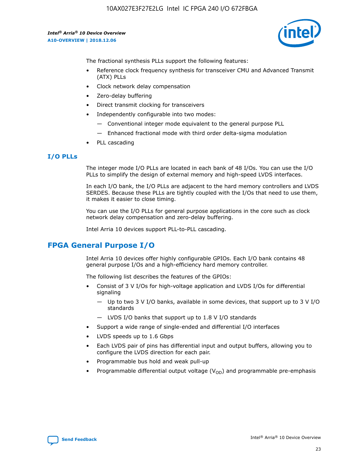

The fractional synthesis PLLs support the following features:

- Reference clock frequency synthesis for transceiver CMU and Advanced Transmit (ATX) PLLs
- Clock network delay compensation
- Zero-delay buffering
- Direct transmit clocking for transceivers
- Independently configurable into two modes:
	- Conventional integer mode equivalent to the general purpose PLL
	- Enhanced fractional mode with third order delta-sigma modulation
- PLL cascading

# **I/O PLLs**

The integer mode I/O PLLs are located in each bank of 48 I/Os. You can use the I/O PLLs to simplify the design of external memory and high-speed LVDS interfaces.

In each I/O bank, the I/O PLLs are adjacent to the hard memory controllers and LVDS SERDES. Because these PLLs are tightly coupled with the I/Os that need to use them, it makes it easier to close timing.

You can use the I/O PLLs for general purpose applications in the core such as clock network delay compensation and zero-delay buffering.

Intel Arria 10 devices support PLL-to-PLL cascading.

# **FPGA General Purpose I/O**

Intel Arria 10 devices offer highly configurable GPIOs. Each I/O bank contains 48 general purpose I/Os and a high-efficiency hard memory controller.

The following list describes the features of the GPIOs:

- Consist of 3 V I/Os for high-voltage application and LVDS I/Os for differential signaling
	- Up to two 3 V I/O banks, available in some devices, that support up to 3 V I/O standards
	- LVDS I/O banks that support up to 1.8 V I/O standards
- Support a wide range of single-ended and differential I/O interfaces
- LVDS speeds up to 1.6 Gbps
- Each LVDS pair of pins has differential input and output buffers, allowing you to configure the LVDS direction for each pair.
- Programmable bus hold and weak pull-up
- Programmable differential output voltage  $(V_{OD})$  and programmable pre-emphasis

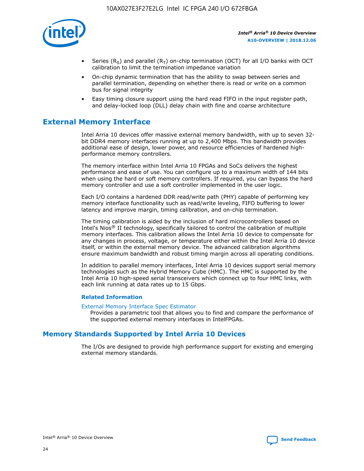

- Series (R<sub>S</sub>) and parallel (R<sub>T</sub>) on-chip termination (OCT) for all I/O banks with OCT calibration to limit the termination impedance variation
- On-chip dynamic termination that has the ability to swap between series and parallel termination, depending on whether there is read or write on a common bus for signal integrity
- Easy timing closure support using the hard read FIFO in the input register path, and delay-locked loop (DLL) delay chain with fine and coarse architecture

# **External Memory Interface**

Intel Arria 10 devices offer massive external memory bandwidth, with up to seven 32 bit DDR4 memory interfaces running at up to 2,400 Mbps. This bandwidth provides additional ease of design, lower power, and resource efficiencies of hardened highperformance memory controllers.

The memory interface within Intel Arria 10 FPGAs and SoCs delivers the highest performance and ease of use. You can configure up to a maximum width of 144 bits when using the hard or soft memory controllers. If required, you can bypass the hard memory controller and use a soft controller implemented in the user logic.

Each I/O contains a hardened DDR read/write path (PHY) capable of performing key memory interface functionality such as read/write leveling, FIFO buffering to lower latency and improve margin, timing calibration, and on-chip termination.

The timing calibration is aided by the inclusion of hard microcontrollers based on Intel's Nios® II technology, specifically tailored to control the calibration of multiple memory interfaces. This calibration allows the Intel Arria 10 device to compensate for any changes in process, voltage, or temperature either within the Intel Arria 10 device itself, or within the external memory device. The advanced calibration algorithms ensure maximum bandwidth and robust timing margin across all operating conditions.

In addition to parallel memory interfaces, Intel Arria 10 devices support serial memory technologies such as the Hybrid Memory Cube (HMC). The HMC is supported by the Intel Arria 10 high-speed serial transceivers which connect up to four HMC links, with each link running at data rates up to 15 Gbps.

#### **Related Information**

#### [External Memory Interface Spec Estimator](http://www.altera.com/technology/memory/estimator/mem-emif-index.html)

Provides a parametric tool that allows you to find and compare the performance of the supported external memory interfaces in IntelFPGAs.

# **Memory Standards Supported by Intel Arria 10 Devices**

The I/Os are designed to provide high performance support for existing and emerging external memory standards.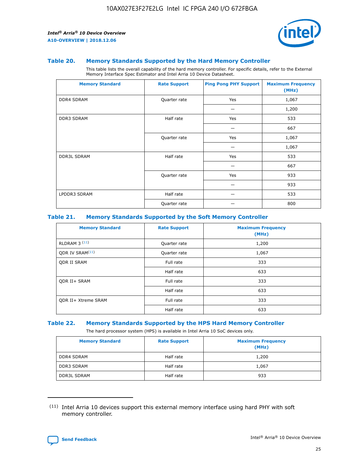

#### **Table 20. Memory Standards Supported by the Hard Memory Controller**

This table lists the overall capability of the hard memory controller. For specific details, refer to the External Memory Interface Spec Estimator and Intel Arria 10 Device Datasheet.

| <b>Memory Standard</b> | <b>Rate Support</b> | <b>Ping Pong PHY Support</b> | <b>Maximum Frequency</b><br>(MHz) |
|------------------------|---------------------|------------------------------|-----------------------------------|
| <b>DDR4 SDRAM</b>      | Quarter rate        | Yes                          | 1,067                             |
|                        |                     |                              | 1,200                             |
| DDR3 SDRAM             | Half rate           | Yes                          | 533                               |
|                        |                     |                              | 667                               |
|                        | Quarter rate        | Yes                          | 1,067                             |
|                        |                     |                              | 1,067                             |
| <b>DDR3L SDRAM</b>     | Half rate           | Yes                          | 533                               |
|                        |                     |                              | 667                               |
|                        | Quarter rate        | Yes                          | 933                               |
|                        |                     |                              | 933                               |
| LPDDR3 SDRAM           | Half rate           |                              | 533                               |
|                        | Quarter rate        |                              | 800                               |

#### **Table 21. Memory Standards Supported by the Soft Memory Controller**

| <b>Memory Standard</b>      | <b>Rate Support</b> | <b>Maximum Frequency</b><br>(MHz) |
|-----------------------------|---------------------|-----------------------------------|
| <b>RLDRAM 3 (11)</b>        | Quarter rate        | 1,200                             |
| ODR IV SRAM <sup>(11)</sup> | Quarter rate        | 1,067                             |
| <b>ODR II SRAM</b>          | Full rate           | 333                               |
|                             | Half rate           | 633                               |
| <b>ODR II+ SRAM</b>         | Full rate           | 333                               |
|                             | Half rate           | 633                               |
| <b>ODR II+ Xtreme SRAM</b>  | Full rate           | 333                               |
|                             | Half rate           | 633                               |

#### **Table 22. Memory Standards Supported by the HPS Hard Memory Controller**

The hard processor system (HPS) is available in Intel Arria 10 SoC devices only.

| <b>Memory Standard</b> | <b>Rate Support</b> | <b>Maximum Frequency</b><br>(MHz) |
|------------------------|---------------------|-----------------------------------|
| <b>DDR4 SDRAM</b>      | Half rate           | 1,200                             |
| <b>DDR3 SDRAM</b>      | Half rate           | 1,067                             |
| <b>DDR3L SDRAM</b>     | Half rate           | 933                               |

<sup>(11)</sup> Intel Arria 10 devices support this external memory interface using hard PHY with soft memory controller.

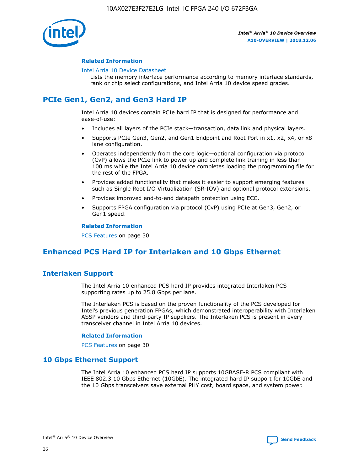

#### **Related Information**

#### [Intel Arria 10 Device Datasheet](https://www.intel.com/content/www/us/en/programmable/documentation/mcn1413182292568.html#mcn1413182153340)

Lists the memory interface performance according to memory interface standards, rank or chip select configurations, and Intel Arria 10 device speed grades.

# **PCIe Gen1, Gen2, and Gen3 Hard IP**

Intel Arria 10 devices contain PCIe hard IP that is designed for performance and ease-of-use:

- Includes all layers of the PCIe stack—transaction, data link and physical layers.
- Supports PCIe Gen3, Gen2, and Gen1 Endpoint and Root Port in x1, x2, x4, or x8 lane configuration.
- Operates independently from the core logic—optional configuration via protocol (CvP) allows the PCIe link to power up and complete link training in less than 100 ms while the Intel Arria 10 device completes loading the programming file for the rest of the FPGA.
- Provides added functionality that makes it easier to support emerging features such as Single Root I/O Virtualization (SR-IOV) and optional protocol extensions.
- Provides improved end-to-end datapath protection using ECC.
- Supports FPGA configuration via protocol (CvP) using PCIe at Gen3, Gen2, or Gen1 speed.

#### **Related Information**

PCS Features on page 30

# **Enhanced PCS Hard IP for Interlaken and 10 Gbps Ethernet**

# **Interlaken Support**

The Intel Arria 10 enhanced PCS hard IP provides integrated Interlaken PCS supporting rates up to 25.8 Gbps per lane.

The Interlaken PCS is based on the proven functionality of the PCS developed for Intel's previous generation FPGAs, which demonstrated interoperability with Interlaken ASSP vendors and third-party IP suppliers. The Interlaken PCS is present in every transceiver channel in Intel Arria 10 devices.

#### **Related Information**

PCS Features on page 30

# **10 Gbps Ethernet Support**

The Intel Arria 10 enhanced PCS hard IP supports 10GBASE-R PCS compliant with IEEE 802.3 10 Gbps Ethernet (10GbE). The integrated hard IP support for 10GbE and the 10 Gbps transceivers save external PHY cost, board space, and system power.

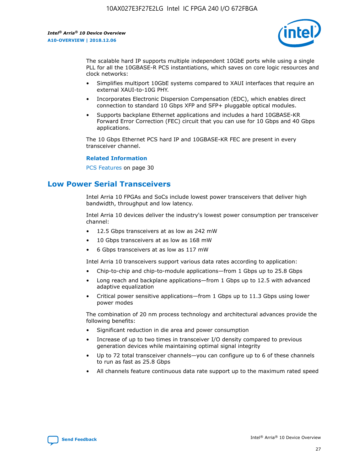

The scalable hard IP supports multiple independent 10GbE ports while using a single PLL for all the 10GBASE-R PCS instantiations, which saves on core logic resources and clock networks:

- Simplifies multiport 10GbE systems compared to XAUI interfaces that require an external XAUI-to-10G PHY.
- Incorporates Electronic Dispersion Compensation (EDC), which enables direct connection to standard 10 Gbps XFP and SFP+ pluggable optical modules.
- Supports backplane Ethernet applications and includes a hard 10GBASE-KR Forward Error Correction (FEC) circuit that you can use for 10 Gbps and 40 Gbps applications.

The 10 Gbps Ethernet PCS hard IP and 10GBASE-KR FEC are present in every transceiver channel.

#### **Related Information**

PCS Features on page 30

# **Low Power Serial Transceivers**

Intel Arria 10 FPGAs and SoCs include lowest power transceivers that deliver high bandwidth, throughput and low latency.

Intel Arria 10 devices deliver the industry's lowest power consumption per transceiver channel:

- 12.5 Gbps transceivers at as low as 242 mW
- 10 Gbps transceivers at as low as 168 mW
- 6 Gbps transceivers at as low as 117 mW

Intel Arria 10 transceivers support various data rates according to application:

- Chip-to-chip and chip-to-module applications—from 1 Gbps up to 25.8 Gbps
- Long reach and backplane applications—from 1 Gbps up to 12.5 with advanced adaptive equalization
- Critical power sensitive applications—from 1 Gbps up to 11.3 Gbps using lower power modes

The combination of 20 nm process technology and architectural advances provide the following benefits:

- Significant reduction in die area and power consumption
- Increase of up to two times in transceiver I/O density compared to previous generation devices while maintaining optimal signal integrity
- Up to 72 total transceiver channels—you can configure up to 6 of these channels to run as fast as 25.8 Gbps
- All channels feature continuous data rate support up to the maximum rated speed

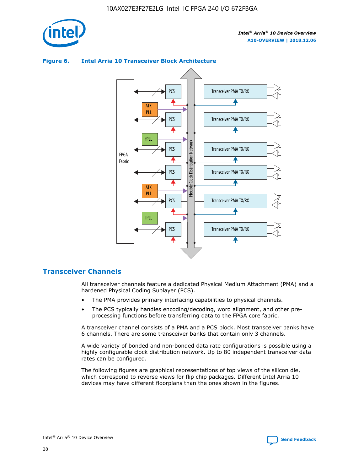



## **Figure 6. Intel Arria 10 Transceiver Block Architecture**

# **Transceiver Channels**

All transceiver channels feature a dedicated Physical Medium Attachment (PMA) and a hardened Physical Coding Sublayer (PCS).

- The PMA provides primary interfacing capabilities to physical channels.
- The PCS typically handles encoding/decoding, word alignment, and other preprocessing functions before transferring data to the FPGA core fabric.

A transceiver channel consists of a PMA and a PCS block. Most transceiver banks have 6 channels. There are some transceiver banks that contain only 3 channels.

A wide variety of bonded and non-bonded data rate configurations is possible using a highly configurable clock distribution network. Up to 80 independent transceiver data rates can be configured.

The following figures are graphical representations of top views of the silicon die, which correspond to reverse views for flip chip packages. Different Intel Arria 10 devices may have different floorplans than the ones shown in the figures.

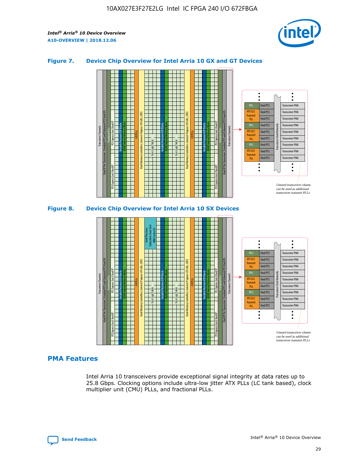

## **Figure 7. Device Chip Overview for Intel Arria 10 GX and GT Devices**



## **PMA Features**

Intel Arria 10 transceivers provide exceptional signal integrity at data rates up to 25.8 Gbps. Clocking options include ultra-low jitter ATX PLLs (LC tank based), clock multiplier unit (CMU) PLLs, and fractional PLLs.

Hard PCS Hard PCS Hard PCS Hard PCS

Transmi PLL fPLL ATX (LC) **Transmit** PLL

Transceiver PMA Transceiver PMA

Transceiver PMA Transceiver PMA

Unused transceiver chann can be used as additional transceiver transmit PLLs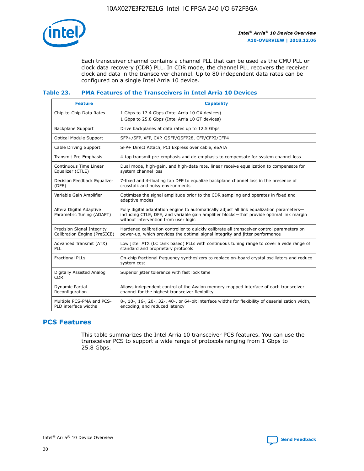

Each transceiver channel contains a channel PLL that can be used as the CMU PLL or clock data recovery (CDR) PLL. In CDR mode, the channel PLL recovers the receiver clock and data in the transceiver channel. Up to 80 independent data rates can be configured on a single Intel Arria 10 device.

## **Table 23. PMA Features of the Transceivers in Intel Arria 10 Devices**

| <b>Feature</b>                                             | <b>Capability</b>                                                                                                                                                                                                             |
|------------------------------------------------------------|-------------------------------------------------------------------------------------------------------------------------------------------------------------------------------------------------------------------------------|
| Chip-to-Chip Data Rates                                    | 1 Gbps to 17.4 Gbps (Intel Arria 10 GX devices)<br>1 Gbps to 25.8 Gbps (Intel Arria 10 GT devices)                                                                                                                            |
| <b>Backplane Support</b>                                   | Drive backplanes at data rates up to 12.5 Gbps                                                                                                                                                                                |
| <b>Optical Module Support</b>                              | SFP+/SFP, XFP, CXP, QSFP/QSFP28, CFP/CFP2/CFP4                                                                                                                                                                                |
| Cable Driving Support                                      | SFP+ Direct Attach, PCI Express over cable, eSATA                                                                                                                                                                             |
| Transmit Pre-Emphasis                                      | 4-tap transmit pre-emphasis and de-emphasis to compensate for system channel loss                                                                                                                                             |
| Continuous Time Linear<br>Equalizer (CTLE)                 | Dual mode, high-gain, and high-data rate, linear receive equalization to compensate for<br>system channel loss                                                                                                                |
| Decision Feedback Equalizer<br>(DFE)                       | 7-fixed and 4-floating tap DFE to equalize backplane channel loss in the presence of<br>crosstalk and noisy environments                                                                                                      |
| Variable Gain Amplifier                                    | Optimizes the signal amplitude prior to the CDR sampling and operates in fixed and<br>adaptive modes                                                                                                                          |
| Altera Digital Adaptive<br>Parametric Tuning (ADAPT)       | Fully digital adaptation engine to automatically adjust all link equalization parameters-<br>including CTLE, DFE, and variable gain amplifier blocks—that provide optimal link margin<br>without intervention from user logic |
| Precision Signal Integrity<br>Calibration Engine (PreSICE) | Hardened calibration controller to quickly calibrate all transceiver control parameters on<br>power-up, which provides the optimal signal integrity and jitter performance                                                    |
| Advanced Transmit (ATX)<br><b>PLL</b>                      | Low jitter ATX (LC tank based) PLLs with continuous tuning range to cover a wide range of<br>standard and proprietary protocols                                                                                               |
| <b>Fractional PLLs</b>                                     | On-chip fractional frequency synthesizers to replace on-board crystal oscillators and reduce<br>system cost                                                                                                                   |
| Digitally Assisted Analog<br><b>CDR</b>                    | Superior jitter tolerance with fast lock time                                                                                                                                                                                 |
| Dynamic Partial<br>Reconfiguration                         | Allows independent control of the Avalon memory-mapped interface of each transceiver<br>channel for the highest transceiver flexibility                                                                                       |
| Multiple PCS-PMA and PCS-<br>PLD interface widths          | 8-, 10-, 16-, 20-, 32-, 40-, or 64-bit interface widths for flexibility of deserialization width,<br>encoding, and reduced latency                                                                                            |

# **PCS Features**

This table summarizes the Intel Arria 10 transceiver PCS features. You can use the transceiver PCS to support a wide range of protocols ranging from 1 Gbps to 25.8 Gbps.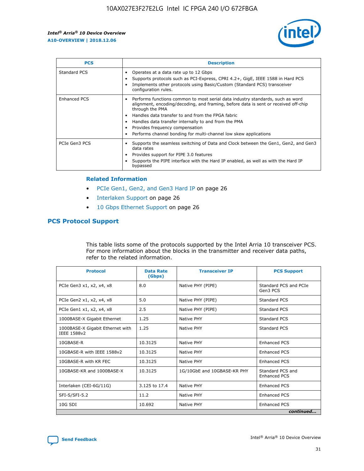

| <b>PCS</b>    | <b>Description</b>                                                                                                                                                                                                                                                                                                                                                                                             |
|---------------|----------------------------------------------------------------------------------------------------------------------------------------------------------------------------------------------------------------------------------------------------------------------------------------------------------------------------------------------------------------------------------------------------------------|
| Standard PCS  | Operates at a data rate up to 12 Gbps<br>Supports protocols such as PCI-Express, CPRI 4.2+, GigE, IEEE 1588 in Hard PCS<br>Implements other protocols using Basic/Custom (Standard PCS) transceiver<br>configuration rules.                                                                                                                                                                                    |
| Enhanced PCS  | Performs functions common to most serial data industry standards, such as word<br>alignment, encoding/decoding, and framing, before data is sent or received off-chip<br>through the PMA<br>• Handles data transfer to and from the FPGA fabric<br>Handles data transfer internally to and from the PMA<br>Provides frequency compensation<br>Performs channel bonding for multi-channel low skew applications |
| PCIe Gen3 PCS | Supports the seamless switching of Data and Clock between the Gen1, Gen2, and Gen3<br>data rates<br>Provides support for PIPE 3.0 features<br>Supports the PIPE interface with the Hard IP enabled, as well as with the Hard IP<br>bypassed                                                                                                                                                                    |

#### **Related Information**

- PCIe Gen1, Gen2, and Gen3 Hard IP on page 26
- Interlaken Support on page 26
- 10 Gbps Ethernet Support on page 26

# **PCS Protocol Support**

This table lists some of the protocols supported by the Intel Arria 10 transceiver PCS. For more information about the blocks in the transmitter and receiver data paths, refer to the related information.

| <b>Protocol</b>                                 | <b>Data Rate</b><br>(Gbps) | <b>Transceiver IP</b>       | <b>PCS Support</b>                      |
|-------------------------------------------------|----------------------------|-----------------------------|-----------------------------------------|
| PCIe Gen3 x1, x2, x4, x8                        | 8.0                        | Native PHY (PIPE)           | Standard PCS and PCIe<br>Gen3 PCS       |
| PCIe Gen2 x1, x2, x4, x8                        | 5.0                        | Native PHY (PIPE)           | <b>Standard PCS</b>                     |
| PCIe Gen1 x1, x2, x4, x8                        | 2.5                        | Native PHY (PIPE)           | Standard PCS                            |
| 1000BASE-X Gigabit Ethernet                     | 1.25                       | Native PHY                  | <b>Standard PCS</b>                     |
| 1000BASE-X Gigabit Ethernet with<br>IEEE 1588v2 | 1.25                       | Native PHY                  | Standard PCS                            |
| 10GBASE-R                                       | 10.3125                    | Native PHY                  | Enhanced PCS                            |
| 10GBASE-R with IEEE 1588v2                      | 10.3125                    | Native PHY                  | <b>Enhanced PCS</b>                     |
| 10GBASE-R with KR FEC                           | 10.3125                    | Native PHY                  | Enhanced PCS                            |
| 10GBASE-KR and 1000BASE-X                       | 10.3125                    | 1G/10GbE and 10GBASE-KR PHY | Standard PCS and<br><b>Enhanced PCS</b> |
| Interlaken (CEI-6G/11G)                         | 3.125 to 17.4              | Native PHY                  | <b>Enhanced PCS</b>                     |
| SFI-S/SFI-5.2                                   | 11.2                       | Native PHY                  | <b>Enhanced PCS</b>                     |
| 10G SDI                                         | 10.692                     | Native PHY                  | Enhanced PCS                            |
|                                                 |                            |                             | continued                               |

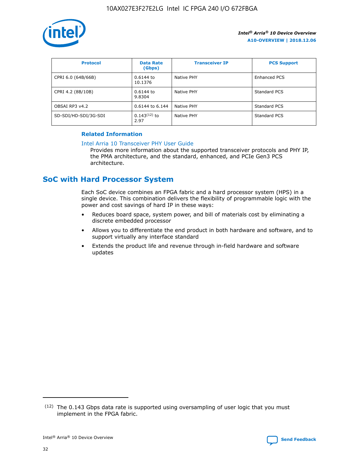

| <b>Protocol</b>      | <b>Data Rate</b><br>(Gbps) | <b>Transceiver IP</b> | <b>PCS Support</b> |
|----------------------|----------------------------|-----------------------|--------------------|
| CPRI 6.0 (64B/66B)   | 0.6144 to<br>10.1376       | Native PHY            | Enhanced PCS       |
| CPRI 4.2 (8B/10B)    | 0.6144 to<br>9.8304        | Native PHY            | Standard PCS       |
| OBSAI RP3 v4.2       | 0.6144 to 6.144            | Native PHY            | Standard PCS       |
| SD-SDI/HD-SDI/3G-SDI | $0.143(12)$ to<br>2.97     | Native PHY            | Standard PCS       |

# **Related Information**

#### [Intel Arria 10 Transceiver PHY User Guide](https://www.intel.com/content/www/us/en/programmable/documentation/nik1398707230472.html#nik1398707091164)

Provides more information about the supported transceiver protocols and PHY IP, the PMA architecture, and the standard, enhanced, and PCIe Gen3 PCS architecture.

# **SoC with Hard Processor System**

Each SoC device combines an FPGA fabric and a hard processor system (HPS) in a single device. This combination delivers the flexibility of programmable logic with the power and cost savings of hard IP in these ways:

- Reduces board space, system power, and bill of materials cost by eliminating a discrete embedded processor
- Allows you to differentiate the end product in both hardware and software, and to support virtually any interface standard
- Extends the product life and revenue through in-field hardware and software updates

 $(12)$  The 0.143 Gbps data rate is supported using oversampling of user logic that you must implement in the FPGA fabric.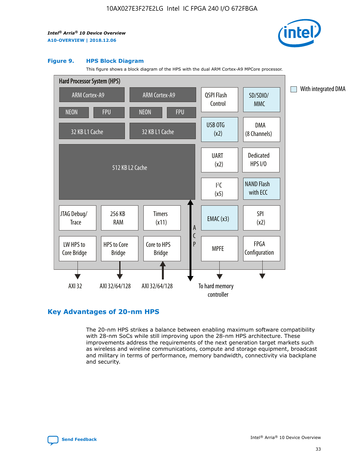

#### **Figure 9. HPS Block Diagram**

This figure shows a block diagram of the HPS with the dual ARM Cortex-A9 MPCore processor.



# **Key Advantages of 20-nm HPS**

The 20-nm HPS strikes a balance between enabling maximum software compatibility with 28-nm SoCs while still improving upon the 28-nm HPS architecture. These improvements address the requirements of the next generation target markets such as wireless and wireline communications, compute and storage equipment, broadcast and military in terms of performance, memory bandwidth, connectivity via backplane and security.

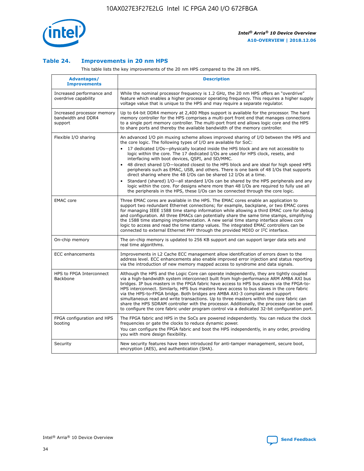

## **Table 24. Improvements in 20 nm HPS**

This table lists the key improvements of the 20 nm HPS compared to the 28 nm HPS.

| Advantages/<br><b>Improvements</b>                          | <b>Description</b>                                                                                                                                                                                                                                                                                                                                                                                                                                                                                                                                                                                                                                                                                                                                                                                                                   |
|-------------------------------------------------------------|--------------------------------------------------------------------------------------------------------------------------------------------------------------------------------------------------------------------------------------------------------------------------------------------------------------------------------------------------------------------------------------------------------------------------------------------------------------------------------------------------------------------------------------------------------------------------------------------------------------------------------------------------------------------------------------------------------------------------------------------------------------------------------------------------------------------------------------|
| Increased performance and<br>overdrive capability           | While the nominal processor frequency is 1.2 GHz, the 20 nm HPS offers an "overdrive"<br>feature which enables a higher processor operating frequency. This requires a higher supply<br>voltage value that is unique to the HPS and may require a separate requlator.                                                                                                                                                                                                                                                                                                                                                                                                                                                                                                                                                                |
| Increased processor memory<br>bandwidth and DDR4<br>support | Up to 64-bit DDR4 memory at 2,400 Mbps support is available for the processor. The hard<br>memory controller for the HPS comprises a multi-port front end that manages connections<br>to a single port memory controller. The multi-port front end allows logic core and the HPS<br>to share ports and thereby the available bandwidth of the memory controller.                                                                                                                                                                                                                                                                                                                                                                                                                                                                     |
| Flexible I/O sharing                                        | An advanced I/O pin muxing scheme allows improved sharing of I/O between the HPS and<br>the core logic. The following types of I/O are available for SoC:<br>17 dedicated I/Os-physically located inside the HPS block and are not accessible to<br>logic within the core. The 17 dedicated I/Os are used for HPS clock, resets, and<br>interfacing with boot devices, QSPI, and SD/MMC.<br>48 direct shared I/O-located closest to the HPS block and are ideal for high speed HPS<br>peripherals such as EMAC, USB, and others. There is one bank of 48 I/Os that supports<br>direct sharing where the 48 I/Os can be shared 12 I/Os at a time.<br>Standard (shared) I/O—all standard I/Os can be shared by the HPS peripherals and any<br>logic within the core. For designs where more than 48 I/Os are required to fully use all |
| <b>EMAC</b> core                                            | the peripherals in the HPS, these I/Os can be connected through the core logic.<br>Three EMAC cores are available in the HPS. The EMAC cores enable an application to                                                                                                                                                                                                                                                                                                                                                                                                                                                                                                                                                                                                                                                                |
|                                                             | support two redundant Ethernet connections; for example, backplane, or two EMAC cores<br>for managing IEEE 1588 time stamp information while allowing a third EMAC core for debug<br>and configuration. All three EMACs can potentially share the same time stamps, simplifying<br>the 1588 time stamping implementation. A new serial time stamp interface allows core<br>logic to access and read the time stamp values. The integrated EMAC controllers can be<br>connected to external Ethernet PHY through the provided MDIO or I <sup>2</sup> C interface.                                                                                                                                                                                                                                                                     |
| On-chip memory                                              | The on-chip memory is updated to 256 KB support and can support larger data sets and<br>real time algorithms.                                                                                                                                                                                                                                                                                                                                                                                                                                                                                                                                                                                                                                                                                                                        |
| <b>ECC</b> enhancements                                     | Improvements in L2 Cache ECC management allow identification of errors down to the<br>address level. ECC enhancements also enable improved error injection and status reporting<br>via the introduction of new memory mapped access to syndrome and data signals.                                                                                                                                                                                                                                                                                                                                                                                                                                                                                                                                                                    |
| HPS to FPGA Interconnect<br>Backbone                        | Although the HPS and the Logic Core can operate independently, they are tightly coupled<br>via a high-bandwidth system interconnect built from high-performance ARM AMBA AXI bus<br>bridges. IP bus masters in the FPGA fabric have access to HPS bus slaves via the FPGA-to-<br>HPS interconnect. Similarly, HPS bus masters have access to bus slaves in the core fabric<br>via the HPS-to-FPGA bridge. Both bridges are AMBA AXI-3 compliant and support<br>simultaneous read and write transactions. Up to three masters within the core fabric can<br>share the HPS SDRAM controller with the processor. Additionally, the processor can be used<br>to configure the core fabric under program control via a dedicated 32-bit configuration port.                                                                               |
| FPGA configuration and HPS<br>booting                       | The FPGA fabric and HPS in the SoCs are powered independently. You can reduce the clock<br>frequencies or gate the clocks to reduce dynamic power.<br>You can configure the FPGA fabric and boot the HPS independently, in any order, providing<br>you with more design flexibility.                                                                                                                                                                                                                                                                                                                                                                                                                                                                                                                                                 |
| Security                                                    | New security features have been introduced for anti-tamper management, secure boot,<br>encryption (AES), and authentication (SHA).                                                                                                                                                                                                                                                                                                                                                                                                                                                                                                                                                                                                                                                                                                   |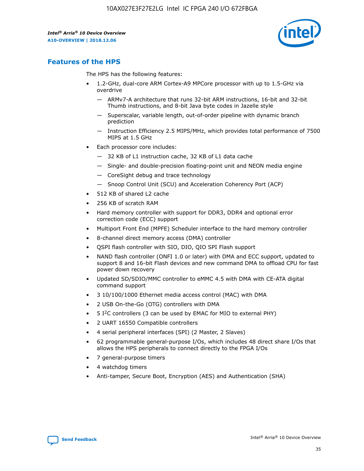

# **Features of the HPS**

The HPS has the following features:

- 1.2-GHz, dual-core ARM Cortex-A9 MPCore processor with up to 1.5-GHz via overdrive
	- ARMv7-A architecture that runs 32-bit ARM instructions, 16-bit and 32-bit Thumb instructions, and 8-bit Java byte codes in Jazelle style
	- Superscalar, variable length, out-of-order pipeline with dynamic branch prediction
	- Instruction Efficiency 2.5 MIPS/MHz, which provides total performance of 7500 MIPS at 1.5 GHz
- Each processor core includes:
	- 32 KB of L1 instruction cache, 32 KB of L1 data cache
	- Single- and double-precision floating-point unit and NEON media engine
	- CoreSight debug and trace technology
	- Snoop Control Unit (SCU) and Acceleration Coherency Port (ACP)
- 512 KB of shared L2 cache
- 256 KB of scratch RAM
- Hard memory controller with support for DDR3, DDR4 and optional error correction code (ECC) support
- Multiport Front End (MPFE) Scheduler interface to the hard memory controller
- 8-channel direct memory access (DMA) controller
- QSPI flash controller with SIO, DIO, QIO SPI Flash support
- NAND flash controller (ONFI 1.0 or later) with DMA and ECC support, updated to support 8 and 16-bit Flash devices and new command DMA to offload CPU for fast power down recovery
- Updated SD/SDIO/MMC controller to eMMC 4.5 with DMA with CE-ATA digital command support
- 3 10/100/1000 Ethernet media access control (MAC) with DMA
- 2 USB On-the-Go (OTG) controllers with DMA
- $\bullet$  5 I<sup>2</sup>C controllers (3 can be used by EMAC for MIO to external PHY)
- 2 UART 16550 Compatible controllers
- 4 serial peripheral interfaces (SPI) (2 Master, 2 Slaves)
- 62 programmable general-purpose I/Os, which includes 48 direct share I/Os that allows the HPS peripherals to connect directly to the FPGA I/Os
- 7 general-purpose timers
- 4 watchdog timers
- Anti-tamper, Secure Boot, Encryption (AES) and Authentication (SHA)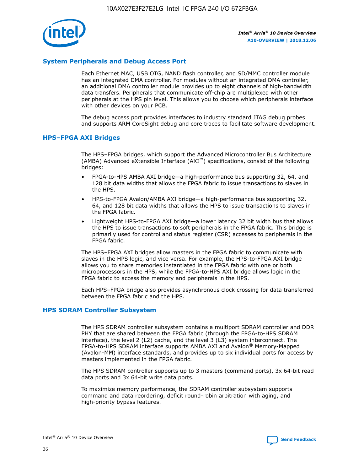

# **System Peripherals and Debug Access Port**

Each Ethernet MAC, USB OTG, NAND flash controller, and SD/MMC controller module has an integrated DMA controller. For modules without an integrated DMA controller, an additional DMA controller module provides up to eight channels of high-bandwidth data transfers. Peripherals that communicate off-chip are multiplexed with other peripherals at the HPS pin level. This allows you to choose which peripherals interface with other devices on your PCB.

The debug access port provides interfaces to industry standard JTAG debug probes and supports ARM CoreSight debug and core traces to facilitate software development.

#### **HPS–FPGA AXI Bridges**

The HPS–FPGA bridges, which support the Advanced Microcontroller Bus Architecture (AMBA) Advanced eXtensible Interface (AXI™) specifications, consist of the following bridges:

- FPGA-to-HPS AMBA AXI bridge—a high-performance bus supporting 32, 64, and 128 bit data widths that allows the FPGA fabric to issue transactions to slaves in the HPS.
- HPS-to-FPGA Avalon/AMBA AXI bridge—a high-performance bus supporting 32, 64, and 128 bit data widths that allows the HPS to issue transactions to slaves in the FPGA fabric.
- Lightweight HPS-to-FPGA AXI bridge—a lower latency 32 bit width bus that allows the HPS to issue transactions to soft peripherals in the FPGA fabric. This bridge is primarily used for control and status register (CSR) accesses to peripherals in the FPGA fabric.

The HPS–FPGA AXI bridges allow masters in the FPGA fabric to communicate with slaves in the HPS logic, and vice versa. For example, the HPS-to-FPGA AXI bridge allows you to share memories instantiated in the FPGA fabric with one or both microprocessors in the HPS, while the FPGA-to-HPS AXI bridge allows logic in the FPGA fabric to access the memory and peripherals in the HPS.

Each HPS–FPGA bridge also provides asynchronous clock crossing for data transferred between the FPGA fabric and the HPS.

#### **HPS SDRAM Controller Subsystem**

The HPS SDRAM controller subsystem contains a multiport SDRAM controller and DDR PHY that are shared between the FPGA fabric (through the FPGA-to-HPS SDRAM interface), the level 2 (L2) cache, and the level 3 (L3) system interconnect. The FPGA-to-HPS SDRAM interface supports AMBA AXI and Avalon® Memory-Mapped (Avalon-MM) interface standards, and provides up to six individual ports for access by masters implemented in the FPGA fabric.

The HPS SDRAM controller supports up to 3 masters (command ports), 3x 64-bit read data ports and 3x 64-bit write data ports.

To maximize memory performance, the SDRAM controller subsystem supports command and data reordering, deficit round-robin arbitration with aging, and high-priority bypass features.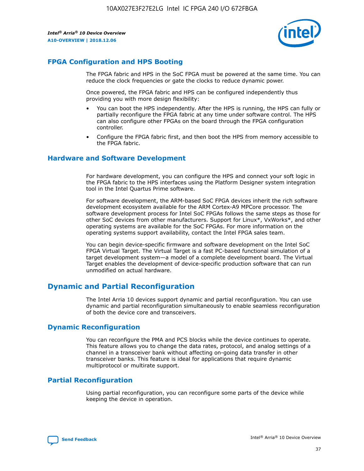

# **FPGA Configuration and HPS Booting**

The FPGA fabric and HPS in the SoC FPGA must be powered at the same time. You can reduce the clock frequencies or gate the clocks to reduce dynamic power.

Once powered, the FPGA fabric and HPS can be configured independently thus providing you with more design flexibility:

- You can boot the HPS independently. After the HPS is running, the HPS can fully or partially reconfigure the FPGA fabric at any time under software control. The HPS can also configure other FPGAs on the board through the FPGA configuration controller.
- Configure the FPGA fabric first, and then boot the HPS from memory accessible to the FPGA fabric.

## **Hardware and Software Development**

For hardware development, you can configure the HPS and connect your soft logic in the FPGA fabric to the HPS interfaces using the Platform Designer system integration tool in the Intel Quartus Prime software.

For software development, the ARM-based SoC FPGA devices inherit the rich software development ecosystem available for the ARM Cortex-A9 MPCore processor. The software development process for Intel SoC FPGAs follows the same steps as those for other SoC devices from other manufacturers. Support for Linux\*, VxWorks\*, and other operating systems are available for the SoC FPGAs. For more information on the operating systems support availability, contact the Intel FPGA sales team.

You can begin device-specific firmware and software development on the Intel SoC FPGA Virtual Target. The Virtual Target is a fast PC-based functional simulation of a target development system—a model of a complete development board. The Virtual Target enables the development of device-specific production software that can run unmodified on actual hardware.

# **Dynamic and Partial Reconfiguration**

The Intel Arria 10 devices support dynamic and partial reconfiguration. You can use dynamic and partial reconfiguration simultaneously to enable seamless reconfiguration of both the device core and transceivers.

# **Dynamic Reconfiguration**

You can reconfigure the PMA and PCS blocks while the device continues to operate. This feature allows you to change the data rates, protocol, and analog settings of a channel in a transceiver bank without affecting on-going data transfer in other transceiver banks. This feature is ideal for applications that require dynamic multiprotocol or multirate support.

# **Partial Reconfiguration**

Using partial reconfiguration, you can reconfigure some parts of the device while keeping the device in operation.

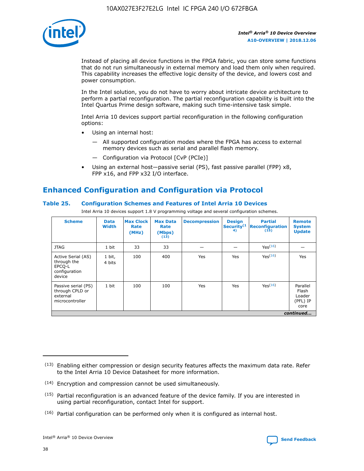

Instead of placing all device functions in the FPGA fabric, you can store some functions that do not run simultaneously in external memory and load them only when required. This capability increases the effective logic density of the device, and lowers cost and power consumption.

In the Intel solution, you do not have to worry about intricate device architecture to perform a partial reconfiguration. The partial reconfiguration capability is built into the Intel Quartus Prime design software, making such time-intensive task simple.

Intel Arria 10 devices support partial reconfiguration in the following configuration options:

- Using an internal host:
	- All supported configuration modes where the FPGA has access to external memory devices such as serial and parallel flash memory.
	- Configuration via Protocol [CvP (PCIe)]
- Using an external host—passive serial (PS), fast passive parallel (FPP) x8, FPP x16, and FPP x32 I/O interface.

# **Enhanced Configuration and Configuration via Protocol**

# **Table 25. Configuration Schemes and Features of Intel Arria 10 Devices**

Intel Arria 10 devices support 1.8 V programming voltage and several configuration schemes.

| <b>Scheme</b>                                                          | <b>Data</b><br><b>Width</b> | <b>Max Clock</b><br>Rate<br>(MHz) | <b>Max Data</b><br>Rate<br>(Mbps)<br>(13) | <b>Decompression</b> | <b>Design</b><br>Security <sup>(1</sup><br>4) | <b>Partial</b><br><b>Reconfiguration</b><br>(15) | <b>Remote</b><br><b>System</b><br><b>Update</b> |
|------------------------------------------------------------------------|-----------------------------|-----------------------------------|-------------------------------------------|----------------------|-----------------------------------------------|--------------------------------------------------|-------------------------------------------------|
| <b>JTAG</b>                                                            | 1 bit                       | 33                                | 33                                        |                      |                                               | Yes(16)                                          |                                                 |
| Active Serial (AS)<br>through the<br>EPCO-L<br>configuration<br>device | 1 bit,<br>4 bits            | 100                               | 400                                       | Yes                  | Yes                                           | $Y_{PS}(16)$                                     | Yes                                             |
| Passive serial (PS)<br>through CPLD or<br>external<br>microcontroller  | 1 bit                       | 100                               | 100                                       | Yes                  | Yes                                           | Yes(16)                                          | Parallel<br>Flash<br>Loader<br>(PFL) IP<br>core |
|                                                                        |                             |                                   |                                           |                      |                                               |                                                  | continued                                       |

<sup>(13)</sup> Enabling either compression or design security features affects the maximum data rate. Refer to the Intel Arria 10 Device Datasheet for more information.

<sup>(14)</sup> Encryption and compression cannot be used simultaneously.

 $<sup>(15)</sup>$  Partial reconfiguration is an advanced feature of the device family. If you are interested in</sup> using partial reconfiguration, contact Intel for support.

 $(16)$  Partial configuration can be performed only when it is configured as internal host.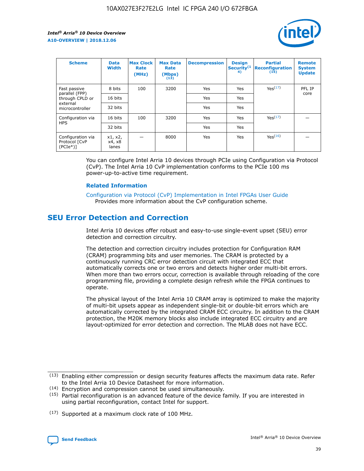

| <b>Scheme</b>                                    | <b>Data</b><br><b>Width</b> | <b>Max Clock</b><br>Rate<br>(MHz) | <b>Max Data</b><br>Rate<br>(Mbps)<br>(13) | <b>Decompression</b> | <b>Design</b><br>Security <sup>(1</sup><br>4) | <b>Partial</b><br><b>Reconfiguration</b><br>(15) | <b>Remote</b><br><b>System</b><br><b>Update</b> |
|--------------------------------------------------|-----------------------------|-----------------------------------|-------------------------------------------|----------------------|-----------------------------------------------|--------------------------------------------------|-------------------------------------------------|
| Fast passive                                     | 8 bits                      | 100                               | 3200                                      | Yes                  | Yes                                           | Yes(17)                                          | PFL IP                                          |
| parallel (FPP)<br>through CPLD or                | 16 bits                     |                                   |                                           | Yes                  | Yes                                           |                                                  | core                                            |
| external<br>microcontroller                      | 32 bits                     |                                   |                                           | Yes                  | Yes                                           |                                                  |                                                 |
| Configuration via                                | 16 bits                     | 100                               | 3200                                      | Yes                  | Yes                                           | Yes <sup>(17)</sup>                              |                                                 |
| <b>HPS</b>                                       | 32 bits                     |                                   |                                           | Yes                  | Yes                                           |                                                  |                                                 |
| Configuration via<br>Protocol [CvP<br>$(PCIe^*)$ | x1, x2,<br>x4, x8<br>lanes  |                                   | 8000                                      | Yes                  | Yes                                           | Yes <sup>(16)</sup>                              |                                                 |

You can configure Intel Arria 10 devices through PCIe using Configuration via Protocol (CvP). The Intel Arria 10 CvP implementation conforms to the PCIe 100 ms power-up-to-active time requirement.

#### **Related Information**

[Configuration via Protocol \(CvP\) Implementation in Intel FPGAs User Guide](https://www.intel.com/content/www/us/en/programmable/documentation/dsu1441819344145.html#dsu1442269728522) Provides more information about the CvP configuration scheme.

# **SEU Error Detection and Correction**

Intel Arria 10 devices offer robust and easy-to-use single-event upset (SEU) error detection and correction circuitry.

The detection and correction circuitry includes protection for Configuration RAM (CRAM) programming bits and user memories. The CRAM is protected by a continuously running CRC error detection circuit with integrated ECC that automatically corrects one or two errors and detects higher order multi-bit errors. When more than two errors occur, correction is available through reloading of the core programming file, providing a complete design refresh while the FPGA continues to operate.

The physical layout of the Intel Arria 10 CRAM array is optimized to make the majority of multi-bit upsets appear as independent single-bit or double-bit errors which are automatically corrected by the integrated CRAM ECC circuitry. In addition to the CRAM protection, the M20K memory blocks also include integrated ECC circuitry and are layout-optimized for error detection and correction. The MLAB does not have ECC.

(14) Encryption and compression cannot be used simultaneously.

<sup>(17)</sup> Supported at a maximum clock rate of 100 MHz.



 $(13)$  Enabling either compression or design security features affects the maximum data rate. Refer to the Intel Arria 10 Device Datasheet for more information.

 $(15)$  Partial reconfiguration is an advanced feature of the device family. If you are interested in using partial reconfiguration, contact Intel for support.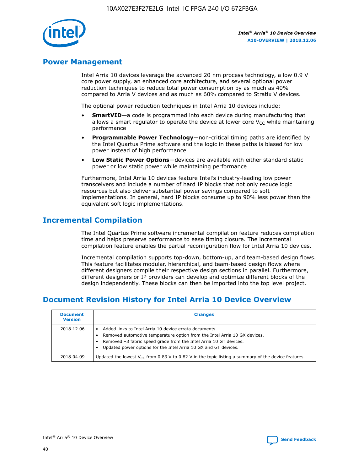

# **Power Management**

Intel Arria 10 devices leverage the advanced 20 nm process technology, a low 0.9 V core power supply, an enhanced core architecture, and several optional power reduction techniques to reduce total power consumption by as much as 40% compared to Arria V devices and as much as 60% compared to Stratix V devices.

The optional power reduction techniques in Intel Arria 10 devices include:

- **SmartVID**—a code is programmed into each device during manufacturing that allows a smart regulator to operate the device at lower core  $V_{CC}$  while maintaining performance
- **Programmable Power Technology**—non-critical timing paths are identified by the Intel Quartus Prime software and the logic in these paths is biased for low power instead of high performance
- **Low Static Power Options**—devices are available with either standard static power or low static power while maintaining performance

Furthermore, Intel Arria 10 devices feature Intel's industry-leading low power transceivers and include a number of hard IP blocks that not only reduce logic resources but also deliver substantial power savings compared to soft implementations. In general, hard IP blocks consume up to 90% less power than the equivalent soft logic implementations.

# **Incremental Compilation**

The Intel Quartus Prime software incremental compilation feature reduces compilation time and helps preserve performance to ease timing closure. The incremental compilation feature enables the partial reconfiguration flow for Intel Arria 10 devices.

Incremental compilation supports top-down, bottom-up, and team-based design flows. This feature facilitates modular, hierarchical, and team-based design flows where different designers compile their respective design sections in parallel. Furthermore, different designers or IP providers can develop and optimize different blocks of the design independently. These blocks can then be imported into the top level project.

# **Document Revision History for Intel Arria 10 Device Overview**

| <b>Document</b><br><b>Version</b> | <b>Changes</b>                                                                                                                                                                                                                                                              |
|-----------------------------------|-----------------------------------------------------------------------------------------------------------------------------------------------------------------------------------------------------------------------------------------------------------------------------|
| 2018.12.06                        | Added links to Intel Arria 10 device errata documents.<br>Removed automotive temperature option from the Intel Arria 10 GX devices.<br>Removed -3 fabric speed grade from the Intel Arria 10 GT devices.<br>Updated power options for the Intel Arria 10 GX and GT devices. |
| 2018.04.09                        | Updated the lowest $V_{CC}$ from 0.83 V to 0.82 V in the topic listing a summary of the device features.                                                                                                                                                                    |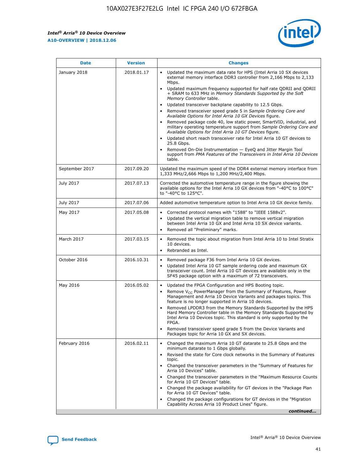F

 $\mathsf{r}$ 



| January 2018<br>Updated the maximum data rate for HPS (Intel Arria 10 SX devices<br>2018.01.17<br>external memory interface DDR3 controller from 2,166 Mbps to 2,133<br>Mbps.<br>$\bullet$<br>+ SRAM to 633 MHz in Memory Standards Supported by the Soft<br>Memory Controller table.<br>Updated transceiver backplane capability to 12.5 Gbps.<br>$\bullet$<br>Removed transceiver speed grade 5 in Sample Ordering Core and<br>Available Options for Intel Arria 10 GX Devices figure.<br>Available Options for Intel Arria 10 GT Devices figure.<br>Updated short reach transceiver rate for Intel Arria 10 GT devices to<br>$\bullet$<br>25.8 Gbps.<br>Removed On-Die Instrumentation - EyeQ and Jitter Margin Tool<br>table.<br>2017.09.20<br>September 2017<br>1,333 MHz/2,666 Mbps to 1,200 MHz/2,400 Mbps.<br>July 2017<br>2017.07.13<br>Corrected the automotive temperature range in the figure showing the<br>available options for the Intel Arria 10 GX devices from "-40°C to 100°C"<br>to "-40°C to 125°C".<br>July 2017<br>2017.07.06<br>Added automotive temperature option to Intel Arria 10 GX device family.<br>2017.05.08<br>Corrected protocol names with "1588" to "IEEE 1588v2".<br>May 2017<br>$\bullet$<br>Updated the vertical migration table to remove vertical migration<br>$\bullet$<br>between Intel Arria 10 GX and Intel Arria 10 SX device variants.<br>Removed all "Preliminary" marks.<br>2017.03.15<br>March 2017<br>Removed the topic about migration from Intel Arria 10 to Intel Stratix<br>10 devices.<br>Rebranded as Intel.<br>$\bullet$<br>October 2016<br>2016.10.31<br>Removed package F36 from Intel Arria 10 GX devices.<br>$\bullet$<br>Updated Intel Arria 10 GT sample ordering code and maximum GX<br>$\bullet$<br>transceiver count. Intel Arria 10 GT devices are available only in the<br>SF45 package option with a maximum of 72 transceivers.<br>May 2016<br>2016.05.02<br>Updated the FPGA Configuration and HPS Booting topic.<br>Remove $V_{CC}$ PowerManager from the Summary of Features, Power<br>Management and Arria 10 Device Variants and packages topics. This<br>feature is no longer supported in Arria 10 devices.<br>Removed LPDDR3 from the Memory Standards Supported by the HPS<br>Hard Memory Controller table in the Memory Standards Supported by<br>Intel Arria 10 Devices topic. This standard is only supported by the<br>FPGA.<br>Removed transceiver speed grade 5 from the Device Variants and<br>Packages topic for Arria 10 GX and SX devices.<br>Changed the maximum Arria 10 GT datarate to 25.8 Gbps and the<br>February 2016<br>2016.02.11<br>minimum datarate to 1 Gbps globally.<br>Revised the state for Core clock networks in the Summary of Features<br>$\bullet$<br>topic.<br>• Changed the transceiver parameters in the "Summary of Features for<br>Arria 10 Devices" table.<br>for Arria 10 GT Devices" table.<br>• Changed the package availability for GT devices in the "Package Plan<br>for Arria 10 GT Devices" table.<br>Changed the package configurations for GT devices in the "Migration"<br>Capability Across Arria 10 Product Lines" figure. | <b>Date</b> | <b>Version</b> | <b>Changes</b>                                                                                                                                                                                                                                                                               |
|----------------------------------------------------------------------------------------------------------------------------------------------------------------------------------------------------------------------------------------------------------------------------------------------------------------------------------------------------------------------------------------------------------------------------------------------------------------------------------------------------------------------------------------------------------------------------------------------------------------------------------------------------------------------------------------------------------------------------------------------------------------------------------------------------------------------------------------------------------------------------------------------------------------------------------------------------------------------------------------------------------------------------------------------------------------------------------------------------------------------------------------------------------------------------------------------------------------------------------------------------------------------------------------------------------------------------------------------------------------------------------------------------------------------------------------------------------------------------------------------------------------------------------------------------------------------------------------------------------------------------------------------------------------------------------------------------------------------------------------------------------------------------------------------------------------------------------------------------------------------------------------------------------------------------------------------------------------------------------------------------------------------------------------------------------------------------------------------------------------------------------------------------------------------------------------------------------------------------------------------------------------------------------------------------------------------------------------------------------------------------------------------------------------------------------------------------------------------------------------------------------------------------------------------------------------------------------------------------------------------------------------------------------------------------------------------------------------------------------------------------------------------------------------------------------------------------------------------------------------------------------------------------------------------------------------------------------------------------------------------------------------------------------------------------------------------------------------------------------------------------------------------------------------|-------------|----------------|----------------------------------------------------------------------------------------------------------------------------------------------------------------------------------------------------------------------------------------------------------------------------------------------|
|                                                                                                                                                                                                                                                                                                                                                                                                                                                                                                                                                                                                                                                                                                                                                                                                                                                                                                                                                                                                                                                                                                                                                                                                                                                                                                                                                                                                                                                                                                                                                                                                                                                                                                                                                                                                                                                                                                                                                                                                                                                                                                                                                                                                                                                                                                                                                                                                                                                                                                                                                                                                                                                                                                                                                                                                                                                                                                                                                                                                                                                                                                                                                                |             |                | Updated maximum frequency supported for half rate QDRII and QDRII<br>Removed package code 40, low static power, SmartVID, industrial, and<br>military operating temperature support from Sample Ordering Core and<br>support from PMA Features of the Transceivers in Intel Arria 10 Devices |
|                                                                                                                                                                                                                                                                                                                                                                                                                                                                                                                                                                                                                                                                                                                                                                                                                                                                                                                                                                                                                                                                                                                                                                                                                                                                                                                                                                                                                                                                                                                                                                                                                                                                                                                                                                                                                                                                                                                                                                                                                                                                                                                                                                                                                                                                                                                                                                                                                                                                                                                                                                                                                                                                                                                                                                                                                                                                                                                                                                                                                                                                                                                                                                |             |                | Updated the maximum speed of the DDR4 external memory interface from                                                                                                                                                                                                                         |
|                                                                                                                                                                                                                                                                                                                                                                                                                                                                                                                                                                                                                                                                                                                                                                                                                                                                                                                                                                                                                                                                                                                                                                                                                                                                                                                                                                                                                                                                                                                                                                                                                                                                                                                                                                                                                                                                                                                                                                                                                                                                                                                                                                                                                                                                                                                                                                                                                                                                                                                                                                                                                                                                                                                                                                                                                                                                                                                                                                                                                                                                                                                                                                |             |                |                                                                                                                                                                                                                                                                                              |
|                                                                                                                                                                                                                                                                                                                                                                                                                                                                                                                                                                                                                                                                                                                                                                                                                                                                                                                                                                                                                                                                                                                                                                                                                                                                                                                                                                                                                                                                                                                                                                                                                                                                                                                                                                                                                                                                                                                                                                                                                                                                                                                                                                                                                                                                                                                                                                                                                                                                                                                                                                                                                                                                                                                                                                                                                                                                                                                                                                                                                                                                                                                                                                |             |                |                                                                                                                                                                                                                                                                                              |
|                                                                                                                                                                                                                                                                                                                                                                                                                                                                                                                                                                                                                                                                                                                                                                                                                                                                                                                                                                                                                                                                                                                                                                                                                                                                                                                                                                                                                                                                                                                                                                                                                                                                                                                                                                                                                                                                                                                                                                                                                                                                                                                                                                                                                                                                                                                                                                                                                                                                                                                                                                                                                                                                                                                                                                                                                                                                                                                                                                                                                                                                                                                                                                |             |                |                                                                                                                                                                                                                                                                                              |
|                                                                                                                                                                                                                                                                                                                                                                                                                                                                                                                                                                                                                                                                                                                                                                                                                                                                                                                                                                                                                                                                                                                                                                                                                                                                                                                                                                                                                                                                                                                                                                                                                                                                                                                                                                                                                                                                                                                                                                                                                                                                                                                                                                                                                                                                                                                                                                                                                                                                                                                                                                                                                                                                                                                                                                                                                                                                                                                                                                                                                                                                                                                                                                |             |                |                                                                                                                                                                                                                                                                                              |
|                                                                                                                                                                                                                                                                                                                                                                                                                                                                                                                                                                                                                                                                                                                                                                                                                                                                                                                                                                                                                                                                                                                                                                                                                                                                                                                                                                                                                                                                                                                                                                                                                                                                                                                                                                                                                                                                                                                                                                                                                                                                                                                                                                                                                                                                                                                                                                                                                                                                                                                                                                                                                                                                                                                                                                                                                                                                                                                                                                                                                                                                                                                                                                |             |                |                                                                                                                                                                                                                                                                                              |
|                                                                                                                                                                                                                                                                                                                                                                                                                                                                                                                                                                                                                                                                                                                                                                                                                                                                                                                                                                                                                                                                                                                                                                                                                                                                                                                                                                                                                                                                                                                                                                                                                                                                                                                                                                                                                                                                                                                                                                                                                                                                                                                                                                                                                                                                                                                                                                                                                                                                                                                                                                                                                                                                                                                                                                                                                                                                                                                                                                                                                                                                                                                                                                |             |                |                                                                                                                                                                                                                                                                                              |
|                                                                                                                                                                                                                                                                                                                                                                                                                                                                                                                                                                                                                                                                                                                                                                                                                                                                                                                                                                                                                                                                                                                                                                                                                                                                                                                                                                                                                                                                                                                                                                                                                                                                                                                                                                                                                                                                                                                                                                                                                                                                                                                                                                                                                                                                                                                                                                                                                                                                                                                                                                                                                                                                                                                                                                                                                                                                                                                                                                                                                                                                                                                                                                |             |                | Changed the transceiver parameters in the "Maximum Resource Counts"<br>continued                                                                                                                                                                                                             |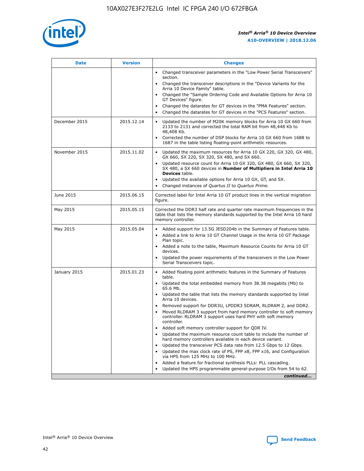

| <b>Date</b>   | <b>Version</b> | <b>Changes</b>                                                                                                                                                                   |
|---------------|----------------|----------------------------------------------------------------------------------------------------------------------------------------------------------------------------------|
|               |                | • Changed transceiver parameters in the "Low Power Serial Transceivers"<br>section.                                                                                              |
|               |                | • Changed the transceiver descriptions in the "Device Variants for the<br>Arria 10 Device Family" table.                                                                         |
|               |                | Changed the "Sample Ordering Code and Available Options for Arria 10<br>GT Devices" figure.                                                                                      |
|               |                | Changed the datarates for GT devices in the "PMA Features" section.                                                                                                              |
|               |                | Changed the datarates for GT devices in the "PCS Features" section.<br>$\bullet$                                                                                                 |
| December 2015 | 2015.12.14     | Updated the number of M20K memory blocks for Arria 10 GX 660 from<br>2133 to 2131 and corrected the total RAM bit from 48,448 Kb to<br>48,408 Kb.                                |
|               |                | Corrected the number of DSP blocks for Arria 10 GX 660 from 1688 to<br>1687 in the table listing floating-point arithmetic resources.                                            |
| November 2015 | 2015.11.02     | Updated the maximum resources for Arria 10 GX 220, GX 320, GX 480,<br>$\bullet$<br>GX 660, SX 220, SX 320, SX 480, and SX 660.                                                   |
|               |                | Updated resource count for Arria 10 GX 320, GX 480, GX 660, SX 320,<br>$\bullet$<br>SX 480, a SX 660 devices in Number of Multipliers in Intel Arria 10<br><b>Devices</b> table. |
|               |                | Updated the available options for Arria 10 GX, GT, and SX.                                                                                                                       |
|               |                | Changed instances of Quartus II to Quartus Prime.<br>$\bullet$                                                                                                                   |
| June 2015     | 2015.06.15     | Corrected label for Intel Arria 10 GT product lines in the vertical migration<br>figure.                                                                                         |
| May 2015      | 2015.05.15     | Corrected the DDR3 half rate and quarter rate maximum frequencies in the<br>table that lists the memory standards supported by the Intel Arria 10 hard<br>memory controller.     |
| May 2015      | 2015.05.04     | • Added support for 13.5G JESD204b in the Summary of Features table.<br>Added a link to Arria 10 GT Channel Usage in the Arria 10 GT Package<br>$\bullet$<br>Plan topic.         |
|               |                | • Added a note to the table, Maximum Resource Counts for Arria 10 GT<br>devices.                                                                                                 |
|               |                | Updated the power requirements of the transceivers in the Low Power<br>Serial Transceivers topic.                                                                                |
| January 2015  | 2015.01.23     | • Added floating point arithmetic features in the Summary of Features<br>table.                                                                                                  |
|               |                | Updated the total embedded memory from 38.38 megabits (Mb) to<br>$\bullet$<br>65.6 Mb.                                                                                           |
|               |                | Updated the table that lists the memory standards supported by Intel<br>Arria 10 devices.                                                                                        |
|               |                | Removed support for DDR3U, LPDDR3 SDRAM, RLDRAM 2, and DDR2.                                                                                                                     |
|               |                | Moved RLDRAM 3 support from hard memory controller to soft memory<br>controller. RLDRAM 3 support uses hard PHY with soft memory<br>controller.                                  |
|               |                | Added soft memory controller support for QDR IV.                                                                                                                                 |
|               |                | Updated the maximum resource count table to include the number of<br>hard memory controllers available in each device variant.                                                   |
|               |                | Updated the transceiver PCS data rate from 12.5 Gbps to 12 Gbps.<br>$\bullet$                                                                                                    |
|               |                | Updated the max clock rate of PS, FPP x8, FPP x16, and Configuration<br>via HPS from 125 MHz to 100 MHz.                                                                         |
|               |                | Added a feature for fractional synthesis PLLs: PLL cascading.                                                                                                                    |
|               |                | Updated the HPS programmable general-purpose I/Os from 54 to 62.                                                                                                                 |
|               |                | continued                                                                                                                                                                        |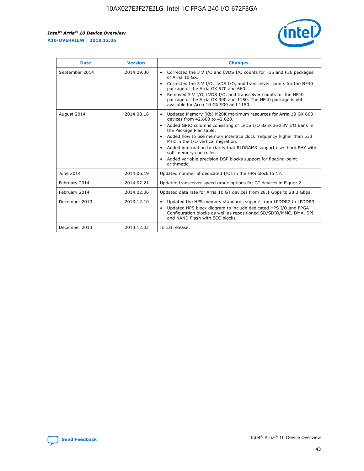

| <b>Date</b>    | <b>Version</b> | <b>Changes</b>                                                                                                                                                                                                                                                                                                                                                                                                                                                                                                                                                   |
|----------------|----------------|------------------------------------------------------------------------------------------------------------------------------------------------------------------------------------------------------------------------------------------------------------------------------------------------------------------------------------------------------------------------------------------------------------------------------------------------------------------------------------------------------------------------------------------------------------------|
| September 2014 | 2014.09.30     | Corrected the 3 V I/O and LVDS I/O counts for F35 and F36 packages<br>$\bullet$<br>of Arria 10 GX.<br>Corrected the 3 V I/O, LVDS I/O, and transceiver counts for the NF40<br>$\bullet$<br>package of the Arria GX 570 and 660.<br>Removed 3 V I/O, LVDS I/O, and transceiver counts for the NF40<br>$\bullet$<br>package of the Arria GX 900 and 1150. The NF40 package is not<br>available for Arria 10 GX 900 and 1150.                                                                                                                                       |
| August 2014    | 2014.08.18     | Updated Memory (Kb) M20K maximum resources for Arria 10 GX 660<br>$\bullet$<br>devices from 42,660 to 42,620.<br>Added GPIO columns consisting of LVDS I/O Bank and 3V I/O Bank in<br>$\bullet$<br>the Package Plan table.<br>Added how to use memory interface clock frequency higher than 533<br>$\bullet$<br>MHz in the I/O vertical migration.<br>Added information to clarify that RLDRAM3 support uses hard PHY with<br>$\bullet$<br>soft memory controller.<br>Added variable precision DSP blocks support for floating-point<br>$\bullet$<br>arithmetic. |
| June 2014      | 2014.06.19     | Updated number of dedicated I/Os in the HPS block to 17.                                                                                                                                                                                                                                                                                                                                                                                                                                                                                                         |
| February 2014  | 2014.02.21     | Updated transceiver speed grade options for GT devices in Figure 2.                                                                                                                                                                                                                                                                                                                                                                                                                                                                                              |
| February 2014  | 2014.02.06     | Updated data rate for Arria 10 GT devices from 28.1 Gbps to 28.3 Gbps.                                                                                                                                                                                                                                                                                                                                                                                                                                                                                           |
| December 2013  | 2013.12.10     | Updated the HPS memory standards support from LPDDR2 to LPDDR3.<br>٠<br>Updated HPS block diagram to include dedicated HPS I/O and FPGA<br>$\bullet$<br>Configuration blocks as well as repositioned SD/SDIO/MMC, DMA, SPI<br>and NAND Flash with ECC blocks.                                                                                                                                                                                                                                                                                                    |
| December 2013  | 2013.12.02     | Initial release.                                                                                                                                                                                                                                                                                                                                                                                                                                                                                                                                                 |